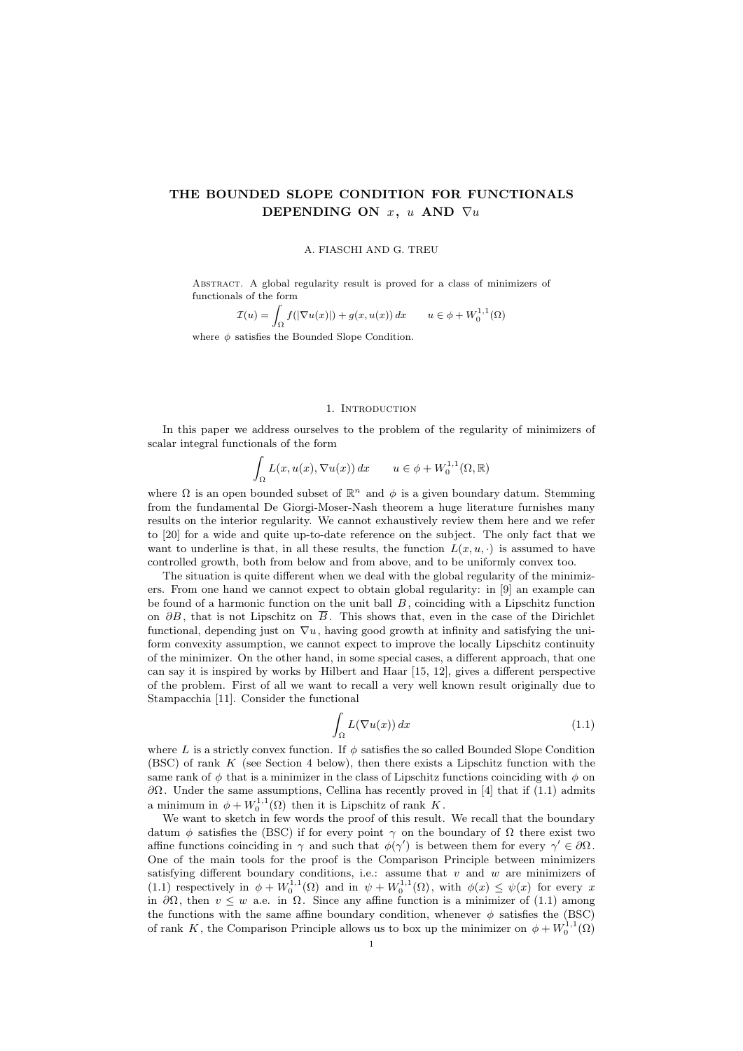# THE BOUNDED SLOPE CONDITION FOR FUNCTIONALS DEPENDING ON  $x, u$  AND  $\nabla u$

#### A. FIASCHI AND G. TREU

Abstract. A global regularity result is proved for a class of minimizers of functionals of the form

$$
\mathcal{I}(u) = \int_{\Omega} f(|\nabla u(x)|) + g(x, u(x)) dx \qquad u \in \phi + W_0^{1,1}(\Omega)
$$

where  $\phi$  satisfies the Bounded Slope Condition.

#### 1. INTRODUCTION

In this paper we address ourselves to the problem of the regularity of minimizers of scalar integral functionals of the form

$$
\int_{\Omega} L(x, u(x), \nabla u(x)) dx \qquad u \in \phi + W_0^{1,1}(\Omega, \mathbb{R})
$$

where  $\Omega$  is an open bounded subset of  $\mathbb{R}^n$  and  $\phi$  is a given boundary datum. Stemming from the fundamental De Giorgi-Moser-Nash theorem a huge literature furnishes many results on the interior regularity. We cannot exhaustively review them here and we refer to [20] for a wide and quite up-to-date reference on the subject. The only fact that we want to underline is that, in all these results, the function  $L(x, u, \cdot)$  is assumed to have controlled growth, both from below and from above, and to be uniformly convex too.

The situation is quite different when we deal with the global regularity of the minimizers. From one hand we cannot expect to obtain global regularity: in [9] an example can be found of a harmonic function on the unit ball  $B$ , coinciding with a Lipschitz function on  $\partial B$ , that is not Lipschitz on  $\overline{B}$ . This shows that, even in the case of the Dirichlet functional, depending just on  $\nabla u$ , having good growth at infinity and satisfying the uniform convexity assumption, we cannot expect to improve the locally Lipschitz continuity of the minimizer. On the other hand, in some special cases, a different approach, that one can say it is inspired by works by Hilbert and Haar [15, 12], gives a different perspective of the problem. First of all we want to recall a very well known result originally due to Stampacchia [11]. Consider the functional

$$
\int_{\Omega} L(\nabla u(x)) dx \tag{1.1}
$$

where L is a strictly convex function. If  $\phi$  satisfies the so called Bounded Slope Condition (BSC) of rank  $K$  (see Section 4 below), then there exists a Lipschitz function with the same rank of  $\phi$  that is a minimizer in the class of Lipschitz functions coinciding with  $\phi$  on  $\partial Ω$ . Under the same assumptions, Cellina has recently proved in [4] that if (1.1) admits a minimum in  $\phi + W_0^{1,1}(\Omega)$  then it is Lipschitz of rank K.

We want to sketch in few words the proof of this result. We recall that the boundary datum  $\phi$  satisfies the (BSC) if for every point  $\gamma$  on the boundary of  $\Omega$  there exist two affine functions coinciding in  $\gamma$  and such that  $\phi(\gamma')$  is between them for every  $\gamma' \in \partial \Omega$ . One of the main tools for the proof is the Comparison Principle between minimizers satisfying different boundary conditions, i.e.: assume that  $v$  and  $w$  are minimizers of (1.1) respectively in  $\phi + W_0^{1,1}(\Omega)$  and in  $\psi + W_0^{1,1}(\Omega)$ , with  $\phi(x) \leq \psi(x)$  for every x in  $\partial\Omega$ , then  $v \leq w$  a.e. in  $\Omega$ . Since any affine function is a minimizer of (1.1) among the functions with the same affine boundary condition, whenever  $\phi$  satisfies the (BSC) of rank K, the Comparison Principle allows us to box up the minimizer on  $\phi + W_0^{1,1}(\Omega)$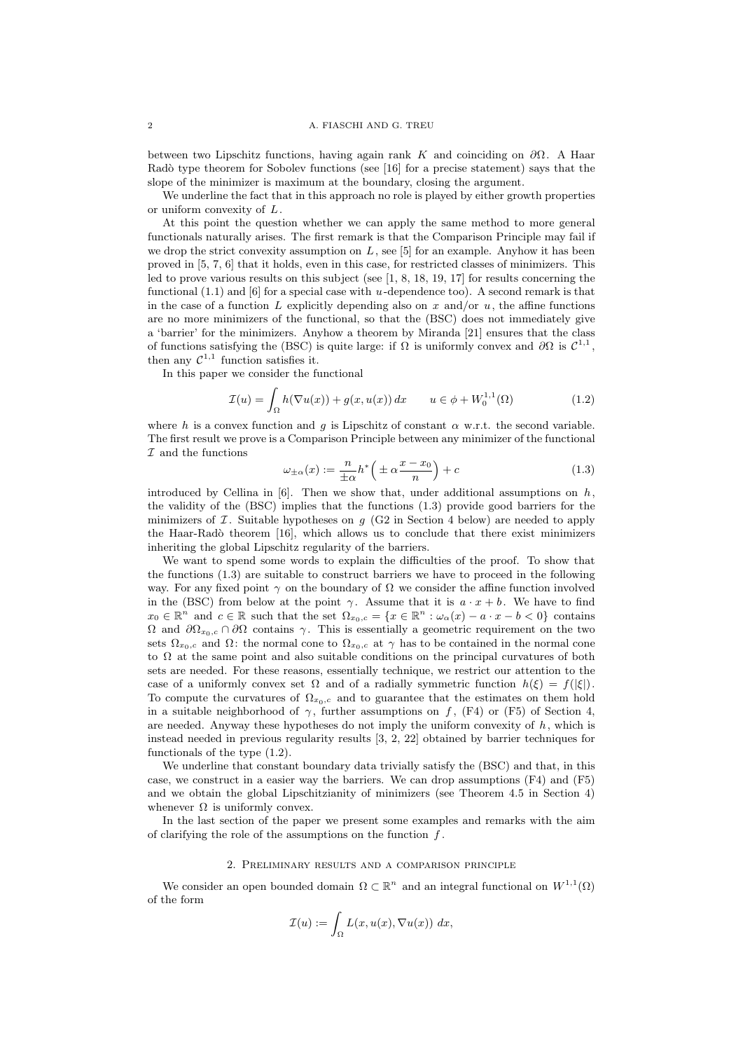between two Lipschitz functions, having again rank K and coinciding on  $\partial\Omega$ . A Haar Radò type theorem for Sobolev functions (see  $[16]$  for a precise statement) says that the slope of the minimizer is maximum at the boundary, closing the argument.

We underline the fact that in this approach no role is played by either growth properties or uniform convexity of L.

At this point the question whether we can apply the same method to more general functionals naturally arises. The first remark is that the Comparison Principle may fail if we drop the strict convexity assumption on  $L$ , see [5] for an example. Anyhow it has been proved in [5, 7, 6] that it holds, even in this case, for restricted classes of minimizers. This led to prove various results on this subject (see [1, 8, 18, 19, 17] for results concerning the functional  $(1.1)$  and  $[6]$  for a special case with u-dependence too). A second remark is that in the case of a function L explicitly depending also on x and/or  $u$ , the affine functions are no more minimizers of the functional, so that the (BSC) does not immediately give a 'barrier' for the minimizers. Anyhow a theorem by Miranda [21] ensures that the class of functions satisfying the (BSC) is quite large: if  $\Omega$  is uniformly convex and  $\partial\Omega$  is  $\mathcal{C}^{1,1}$ , then any  $\mathcal{C}^{1,1}$  function satisfies it.

In this paper we consider the functional

$$
\mathcal{I}(u) = \int_{\Omega} h(\nabla u(x)) + g(x, u(x)) dx \qquad u \in \phi + W_0^{1,1}(\Omega)
$$
 (1.2)

where h is a convex function and q is Lipschitz of constant  $\alpha$  w.r.t. the second variable. The first result we prove is a Comparison Principle between any minimizer of the functional  $I$  and the functions

$$
\omega_{\pm\alpha}(x) := \frac{n}{\pm\alpha} h^* \left( \pm \alpha \frac{x - x_0}{n} \right) + c \tag{1.3}
$$

introduced by Cellina in [6]. Then we show that, under additional assumptions on  $h$ . the validity of the (BSC) implies that the functions (1.3) provide good barriers for the minimizers of  $\mathcal I$ . Suitable hypotheses on  $g$  (G2 in Section 4 below) are needed to apply the Haar-Radò theorem  $[16]$ , which allows us to conclude that there exist minimizers inheriting the global Lipschitz regularity of the barriers.

We want to spend some words to explain the difficulties of the proof. To show that the functions (1.3) are suitable to construct barriers we have to proceed in the following way. For any fixed point  $\gamma$  on the boundary of  $\Omega$  we consider the affine function involved in the (BSC) from below at the point  $\gamma$ . Assume that it is  $a \cdot x + b$ . We have to find  $x_0 \in \mathbb{R}^n$  and  $c \in \mathbb{R}$  such that the set  $\Omega_{x_0,c} = \{x \in \mathbb{R}^n : \omega_\alpha(x) - a \cdot x - b < 0\}$  contains  $Ω$  and  $\partial Ω_{x_0,c} ∩ \partial Ω$  contains  $γ$ . This is essentially a geometric requirement on the two sets  $\Omega_{x_0,c}$  and  $\Omega$ : the normal cone to  $\Omega_{x_0,c}$  at  $\gamma$  has to be contained in the normal cone to  $\Omega$  at the same point and also suitable conditions on the principal curvatures of both sets are needed. For these reasons, essentially technique, we restrict our attention to the case of a uniformly convex set  $\Omega$  and of a radially symmetric function  $h(\xi) = f(|\xi|)$ . To compute the curvatures of  $\Omega_{x_0,c}$  and to guarantee that the estimates on them hold in a suitable neighborhood of  $\gamma$ , further assumptions on f, (F4) or (F5) of Section 4, are needed. Anyway these hypotheses do not imply the uniform convexity of  $h$ , which is instead needed in previous regularity results [3, 2, 22] obtained by barrier techniques for functionals of the type (1.2).

We underline that constant boundary data trivially satisfy the (BSC) and that, in this case, we construct in a easier way the barriers. We can drop assumptions (F4) and (F5) and we obtain the global Lipschitzianity of minimizers (see Theorem 4.5 in Section 4) whenever  $\Omega$  is uniformly convex.

In the last section of the paper we present some examples and remarks with the aim of clarifying the role of the assumptions on the function  $f$ .

# 2. Preliminary results and a comparison principle

We consider an open bounded domain  $\Omega \subset \mathbb{R}^n$  and an integral functional on  $W^{1,1}(\Omega)$ of the form

$$
\mathcal{I}(u) := \int_{\Omega} L(x, u(x), \nabla u(x)) \ dx,
$$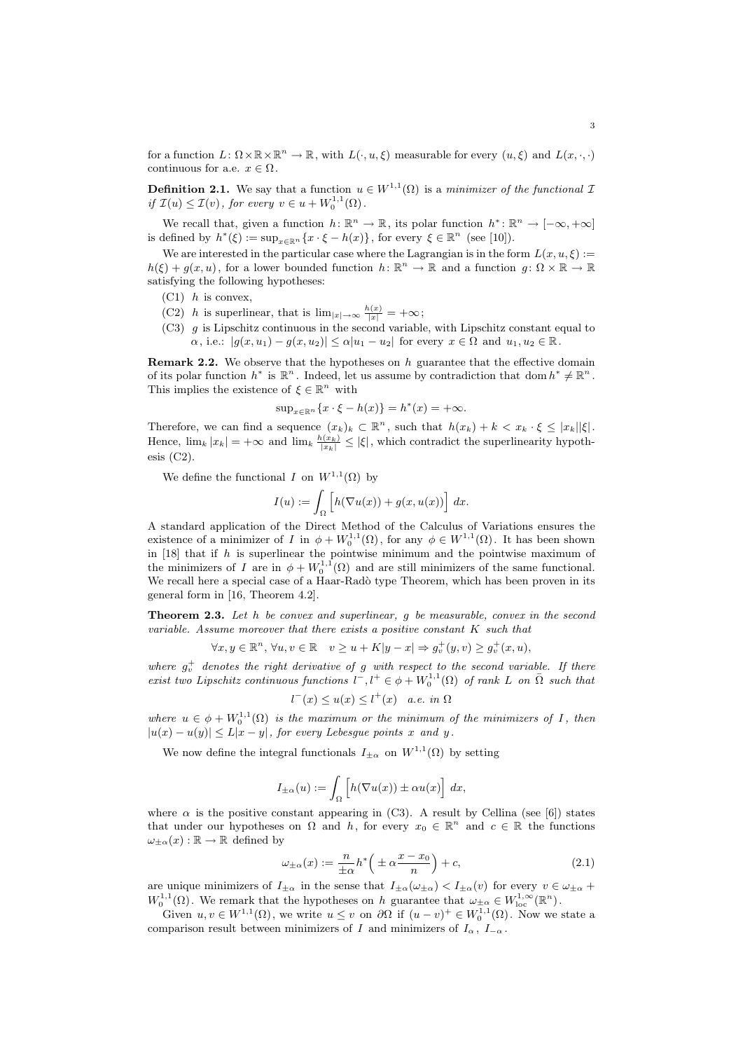for a function  $L: \Omega \times \mathbb{R} \times \mathbb{R}^n \to \mathbb{R}$ , with  $L(\cdot, u, \xi)$  measurable for every  $(u, \xi)$  and  $L(x, \cdot, \cdot)$ continuous for a.e.  $x \in \Omega$ .

**Definition 2.1.** We say that a function  $u \in W^{1,1}(\Omega)$  is a minimizer of the functional I if  $\mathcal{I}(u) \leq \mathcal{I}(v)$ , for every  $v \in u + W_0^{1,1}(\Omega)$ .

We recall that, given a function  $h: \mathbb{R}^n \to \mathbb{R}$ , its polar function  $h^*: \mathbb{R}^n \to [-\infty, +\infty]$ is defined by  $h^*(\xi) := \sup_{x \in \mathbb{R}^n} \{x \cdot \xi - h(x)\}\,$ , for every  $\xi \in \mathbb{R}^n$  (see [10]).

We are interested in the particular case where the Lagrangian is in the form  $L(x, u, \xi)$  :=  $h(\xi) + g(x, u)$ , for a lower bounded function  $h: \mathbb{R}^n \to \mathbb{R}$  and a function  $g: \Omega \times \mathbb{R} \to \mathbb{R}$ satisfying the following hypotheses:

- $(C1)$  h is convex,
- (C2) h is superlinear, that is  $\lim_{|x|\to\infty} \frac{h(x)}{|x|} = +\infty;$
- $(C3)$  g is Lipschitz continuous in the second variable, with Lipschitz constant equal to  $\alpha$ , i.e.:  $|g(x, u_1) - g(x, u_2)| \leq \alpha |u_1 - u_2|$  for every  $x \in \Omega$  and  $u_1, u_2 \in \mathbb{R}$ .

**Remark 2.2.** We observe that the hypotheses on  $h$  guarantee that the effective domain of its polar function  $h^*$  is  $\mathbb{R}^n$ . Indeed, let us assume by contradiction that dom  $h^* \neq \mathbb{R}^n$ . This implies the existence of  $\xi \in \mathbb{R}^n$  with

$$
\sup_{x \in \mathbb{R}^n} \{x \cdot \xi - h(x)\} = h^*(x) = +\infty.
$$

Therefore, we can find a sequence  $(x_k)_k \subset \mathbb{R}^n$ , such that  $h(x_k) + k \langle x_k \cdot \xi \leq |x_k||\xi|$ . Hence,  $\lim_k |x_k| = +\infty$  and  $\lim_k \frac{h(x_k)}{|x_k|} \leq |\xi|$ , which contradict the superlinearity hypoth- $\text{esis}$  (C2).

We define the functional I on  $W^{1,1}(\Omega)$  by

$$
I(u) := \int_{\Omega} \left[ h(\nabla u(x)) + g(x, u(x)) \right] dx.
$$

A standard application of the Direct Method of the Calculus of Variations ensures the existence of a minimizer of I in  $\phi + W_0^{1,1}(\Omega)$ , for any  $\phi \in W^{1,1}(\Omega)$ . It has been shown in  $[18]$  that if h is superlinear the pointwise minimum and the pointwise maximum of the minimizers of I are in  $\phi + W_0^{1,1}(\Omega)$  and are still minimizers of the same functional. We recall here a special case of a Haar-Radò type Theorem, which has been proven in its general form in [16, Theorem 4.2].

**Theorem 2.3.** Let  $h$  be convex and superlinear,  $g$  be measurable, convex in the second variable. Assume moreover that there exists a positive constant K such that

$$
\forall x, y \in \mathbb{R}^n, \forall u, v \in \mathbb{R} \quad v \ge u + K|y - x| \Rightarrow g_v^+(y, v) \ge g_v^+(x, u),
$$

where  $g_v^+$  denotes the right derivative of g with respect to the second variable. If there exist two Lipschitz continuous functions  $l^-, l^+ \in \phi + W_0^{1,1}(\Omega)$  of rank L on  $\overline{\Omega}$  such that

$$
^{-}(x) \le u(x) \le l^{+}(x) \quad a.e. \in \Omega
$$

where  $u \in \phi + W_0^{1,1}(\Omega)$  is the maximum or the minimum of the minimizers of I, then  $|u(x) - u(y)| \le L|x - y|$ , for every Lebesgue points x and y.

We now define the integral functionals  $I_{\pm\alpha}$  on  $W^{1,1}(\Omega)$  by setting

l

$$
I_{\pm\alpha}(u) := \int_{\Omega} \left[ h(\nabla u(x)) \pm \alpha u(x) \right] dx,
$$

where  $\alpha$  is the positive constant appearing in (C3). A result by Cellina (see [6]) states that under our hypotheses on  $\Omega$  and  $h$ , for every  $x_0 \in \mathbb{R}^n$  and  $c \in \mathbb{R}$  the functions  $\omega_{\pm\alpha}(x): \mathbb{R} \to \mathbb{R}$  defined by

$$
\omega_{\pm\alpha}(x) := \frac{n}{\pm\alpha} h^* \left( \pm \alpha \frac{x - x_0}{n} \right) + c,\tag{2.1}
$$

are unique minimizers of  $I_{\pm\alpha}$  in the sense that  $I_{\pm\alpha}(\omega_{\pm\alpha}) < I_{\pm\alpha}(v)$  for every  $v \in \omega_{\pm\alpha}$  +  $W_0^{1,1}(\Omega)$ . We remark that the hypotheses on h guarantee that  $\omega_{\pm\alpha} \in W_{\text{loc}}^{1,\infty}(\mathbb{R}^n)$ .

Given  $u, v \in W^{1,1}(\Omega)$ , we write  $u \leq v$  on  $\partial\Omega$  if  $(u - v)^+ \in W_0^{1,1}(\Omega)$ . Now we state a comparison result between minimizers of I and minimizers of  $I_{\alpha}$ ,  $I_{-\alpha}$ .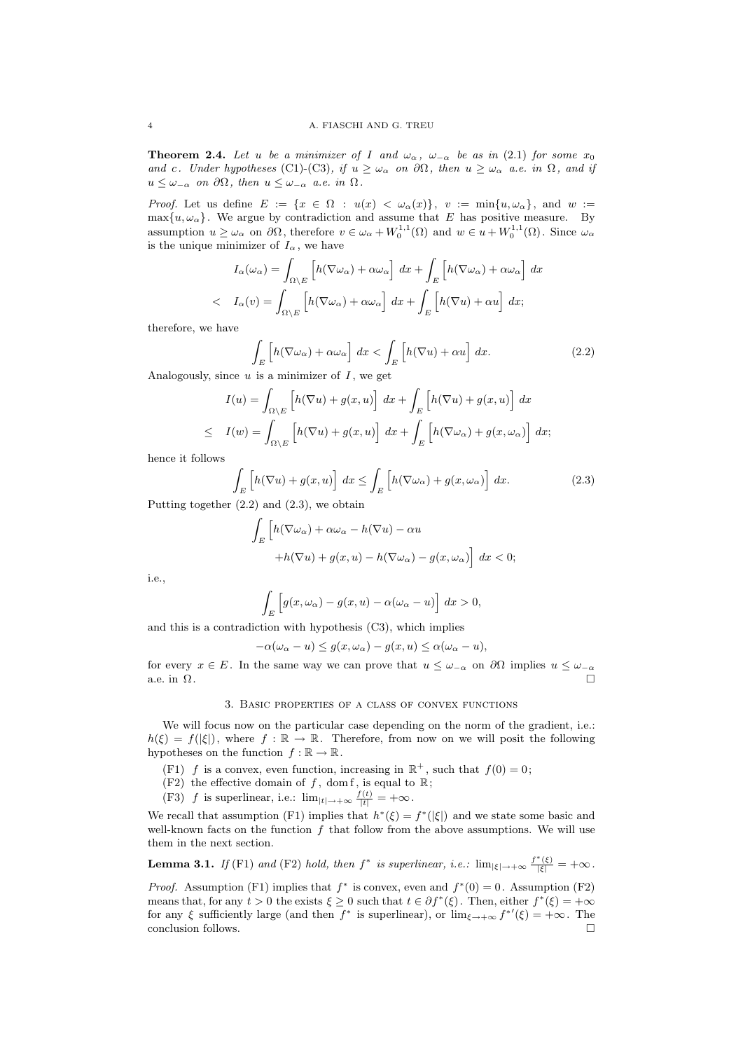**Theorem 2.4.** Let u be a minimizer of I and  $\omega_{\alpha}$ ,  $\omega_{-\alpha}$  be as in (2.1) for some  $x_0$ and c. Under hypotheses (C1)-(C3), if  $u \geq \omega_{\alpha}$  on  $\partial \Omega$ , then  $u \geq \omega_{\alpha}$  a.e. in  $\Omega$ , and if  $u \leq \omega_{-\alpha}$  on  $\partial\Omega$ , then  $u \leq \omega_{-\alpha}$  a.e. in  $\Omega$ .

*Proof.* Let us define  $E := \{x \in \Omega : u(x) < \omega_\alpha(x)\}, v := \min\{u, \omega_\alpha\}, \text{ and } w :=$  $\max\{u, \omega_{\alpha}\}.$  We argue by contradiction and assume that E has positive measure. By assumption  $u \ge \omega_\alpha$  on  $\partial\Omega$ , therefore  $v \in \omega_\alpha + W_0^{1,1}(\Omega)$  and  $w \in u + W_0^{1,1}(\Omega)$ . Since  $\omega_\alpha$ is the unique minimizer of  $I_{\alpha}$ , we have

$$
I_{\alpha}(\omega_{\alpha}) = \int_{\Omega \setminus E} \left[ h(\nabla \omega_{\alpha}) + \alpha \omega_{\alpha} \right] dx + \int_{E} \left[ h(\nabla \omega_{\alpha}) + \alpha \omega_{\alpha} \right] dx
$$
  

$$
\langle I_{\alpha}(v) = \int_{\Omega \setminus E} \left[ h(\nabla \omega_{\alpha}) + \alpha \omega_{\alpha} \right] dx + \int_{E} \left[ h(\nabla u) + \alpha u \right] dx;
$$

therefore, we have

$$
\int_{E} \left[ h(\nabla \omega_{\alpha}) + \alpha \omega_{\alpha} \right] dx < \int_{E} \left[ h(\nabla u) + \alpha u \right] dx.
$$
\n(2.2)

Analogously, since  $u$  is a minimizer of  $I$ , we get

$$
I(u) = \int_{\Omega \setminus E} \left[ h(\nabla u) + g(x, u) \right] dx + \int_{E} \left[ h(\nabla u) + g(x, u) \right] dx
$$
  

$$
\leq I(w) = \int_{\Omega \setminus E} \left[ h(\nabla u) + g(x, u) \right] dx + \int_{E} \left[ h(\nabla \omega_{\alpha}) + g(x, \omega_{\alpha}) \right] dx;
$$

hence it follows

$$
\int_{E} \left[ h(\nabla u) + g(x, u) \right] dx \le \int_{E} \left[ h(\nabla \omega_{\alpha}) + g(x, \omega_{\alpha}) \right] dx.
$$
\n(2.3)

Putting together (2.2) and (2.3), we obtain

$$
\int_{E} \left[ h(\nabla \omega_{\alpha}) + \alpha \omega_{\alpha} - h(\nabla u) - \alpha u + h(\nabla u) + g(x, u) - h(\nabla \omega_{\alpha}) - g(x, \omega_{\alpha}) \right] dx < 0;
$$

i.e.,

$$
\int_{E} \left[ g(x, \omega_{\alpha}) - g(x, u) - \alpha(\omega_{\alpha} - u) \right] dx > 0,
$$

and this is a contradiction with hypothesis (C3), which implies

$$
-\alpha(\omega_{\alpha}-u) \le g(x,\omega_{\alpha}) - g(x,u) \le \alpha(\omega_{\alpha}-u),
$$

for every  $x \in E$ . In the same way we can prove that  $u \leq \omega_{-\alpha}$  on  $\partial\Omega$  implies  $u \leq \omega_{-\alpha}$ a.e. in  $\Omega$ .

# 3. Basic properties of a class of convex functions

We will focus now on the particular case depending on the norm of the gradient, i.e.:  $h(\xi) = f(|\xi|)$ , where  $f : \mathbb{R} \to \mathbb{R}$ . Therefore, from now on we will posit the following hypotheses on the function  $f : \mathbb{R} \to \mathbb{R}$ .

- (F1) f is a convex, even function, increasing in  $\mathbb{R}^+$ , such that  $f(0) = 0$ ;
- (F2) the effective domain of f, dom f, is equal to  $\mathbb{R}$ ;
- (F3) f is superlinear, i.e.:  $\lim_{|t|\to+\infty} \frac{f(t)}{|t|} = +\infty$ .

We recall that assumption (F1) implies that  $h^*(\xi) = f^*(|\xi|)$  and we state some basic and well-known facts on the function  $f$  that follow from the above assumptions. We will use them in the next section.

**Lemma 3.1.** If (F1) and (F2) hold, then  $f^*$  is superlinear, i.e.:  $\lim_{|\xi| \to +\infty} \frac{f^*(\xi)}{|\xi|} = +\infty$ .

*Proof.* Assumption (F1) implies that  $f^*$  is convex, even and  $f^*(0) = 0$ . Assumption (F2) means that, for any  $t > 0$  the exists  $\xi \geq 0$  such that  $t \in \partial f^*(\xi)$ . Then, either  $f^*(\xi) = +\infty$ for any  $\xi$  sufficiently large (and then  $f^*$  is superlinear), or  $\lim_{\xi \to +\infty} f^{*'}(\xi) = +\infty$ . The conclusion follows.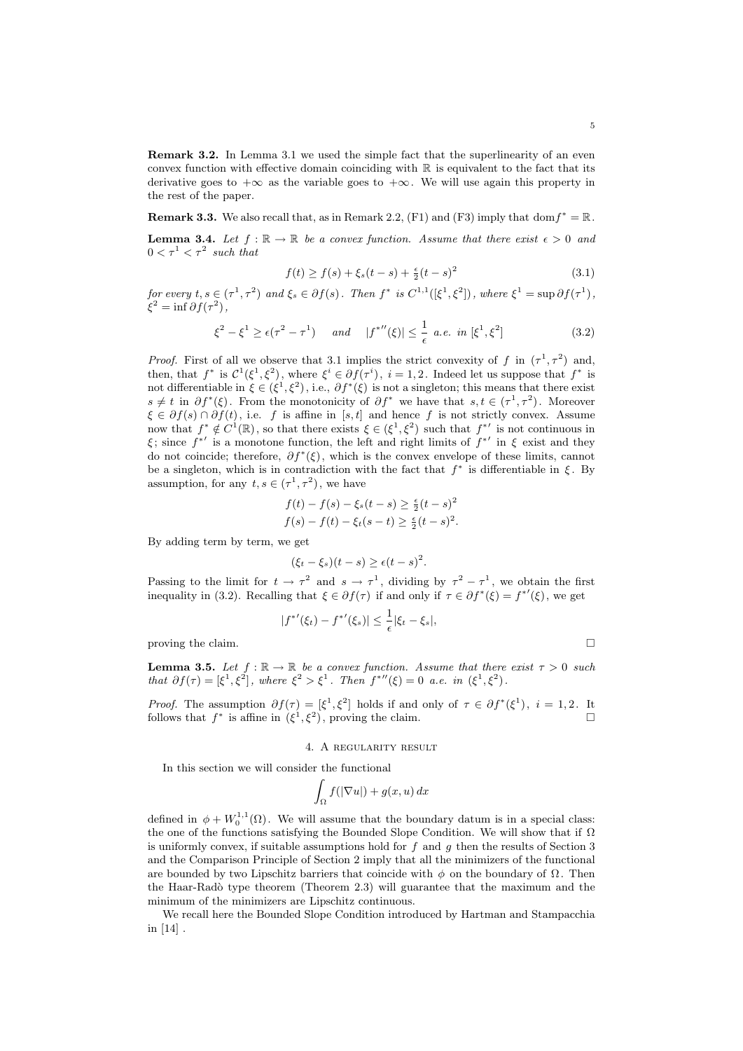Remark 3.2. In Lemma 3.1 we used the simple fact that the superlinearity of an even convex function with effective domain coinciding with  $\mathbb R$  is equivalent to the fact that its derivative goes to  $+\infty$  as the variable goes to  $+\infty$ . We will use again this property in the rest of the paper.

**Remark 3.3.** We also recall that, as in Remark 2.2, (F1) and (F3) imply that dom  $f^* = \mathbb{R}$ .

**Lemma 3.4.** Let  $f : \mathbb{R} \to \mathbb{R}$  be a convex function. Assume that there exist  $\epsilon > 0$  and  $0 < \tau^1 < \tau^2$  such that

$$
f(t) \ge f(s) + \xi_s(t - s) + \frac{\epsilon}{2}(t - s)^2
$$
\n(3.1)

for every  $t, s \in (\tau^1, \tau^2)$  and  $\xi_s \in \partial f(s)$ . Then  $f^*$  is  $C^{1,1}([\xi^1, \xi^2])$ , where  $\xi^1 = \sup \partial f(\tau^1)$ ,  $\xi^2 = \inf \partial f(\tau^2),$ 

$$
\xi^2 - \xi^1 \ge \epsilon(\tau^2 - \tau^1) \quad \text{and} \quad |f^{*}{}''(\xi)| \le \frac{1}{\epsilon} \text{ a.e. in } [\xi^1, \xi^2] \tag{3.2}
$$

*Proof.* First of all we observe that 3.1 implies the strict convexity of f in  $(\tau^1, \tau^2)$  and, then, that  $f^*$  is  $\mathcal{C}^1(\xi^1,\xi^2)$ , where  $\xi^i \in \partial f(\tau^i)$ ,  $i=1,2$ . Indeed let us suppose that  $f^*$  is not differentiable in  $\xi \in (\xi^1, \xi^2)$ , i.e.,  $\partial f^*(\xi)$  is not a singleton; this means that there exist  $s \neq t$  in  $\partial f^*(\xi)$ . From the monotonicity of  $\partial f^*$  we have that  $s, t \in (\tau^1, \tau^2)$ . Moreover  $\xi \in \partial f(s) \cap \partial f(t)$ , i.e. f is affine in [s, t] and hence f is not strictly convex. Assume now that  $f^* \notin C^1(\mathbb{R})$ , so that there exists  $\xi \in (\xi^1, \xi^2)$  such that  $f^{*'}$  is not continuous in ξ; since  $f^{*'}$  is a monotone function, the left and right limits of  $f^{*'}$  in ξ exist and they do not coincide; therefore,  $\partial f^*(\xi)$ , which is the convex envelope of these limits, cannot be a singleton, which is in contradiction with the fact that  $f^*$  is differentiable in  $\xi$ . By assumption, for any  $t, s \in (\tau^1, \tau^2)$ , we have

$$
f(t) - f(s) - \xi_s(t - s) \ge \frac{\epsilon}{2}(t - s)^2
$$
  

$$
f(s) - f(t) - \xi_t(s - t) \ge \frac{\epsilon}{2}(t - s)^2.
$$

By adding term by term, we get

$$
(\xi_t - \xi_s)(t - s) \ge \epsilon (t - s)^2.
$$

Passing to the limit for  $t \to \tau^2$  and  $s \to \tau^1$ , dividing by  $\tau^2 - \tau^1$ , we obtain the first inequality in (3.2). Recalling that  $\xi \in \partial f(\tau)$  if and only if  $\tau \in \partial f^*(\xi) = f^{*'}(\xi)$ , we get

$$
|{f^*}'(\xi_t) - {f^*}'(\xi_s)| \leq \frac{1}{\epsilon} |\xi_t - \xi_s|,
$$

proving the claim.  $\Box$ 

**Lemma 3.5.** Let  $f : \mathbb{R} \to \mathbb{R}$  be a convex function. Assume that there exist  $\tau > 0$  such that  $\partial f(\tau) = [\xi^1, \xi^2],$  where  $\xi^2 > \xi^1$ . Then  $f^{*}(\xi) = 0$  a.e. in  $(\xi^1, \xi^2)$ .

*Proof.* The assumption  $\partial f(\tau) = [\xi^1, \xi^2]$  holds if and only of  $\tau \in \partial f^*(\xi^1)$ ,  $i = 1, 2$ . It follows that  $f^*$  is affine in  $(\xi^1, \xi^2)$ , proving the claim.

# 4. A regularity result

In this section we will consider the functional

$$
\int_{\Omega} f(|\nabla u|) + g(x, u) \, dx
$$

defined in  $\phi + W_0^{1,1}(\Omega)$ . We will assume that the boundary datum is in a special class: the one of the functions satisfying the Bounded Slope Condition. We will show that if  $\Omega$ is uniformly convex, if suitable assumptions hold for  $f$  and  $q$  then the results of Section 3 and the Comparison Principle of Section 2 imply that all the minimizers of the functional are bounded by two Lipschitz barriers that coincide with  $\phi$  on the boundary of  $\Omega$ . Then the Haar-Radò type theorem (Theorem 2.3) will guarantee that the maximum and the minimum of the minimizers are Lipschitz continuous.

We recall here the Bounded Slope Condition introduced by Hartman and Stampacchia in [14] .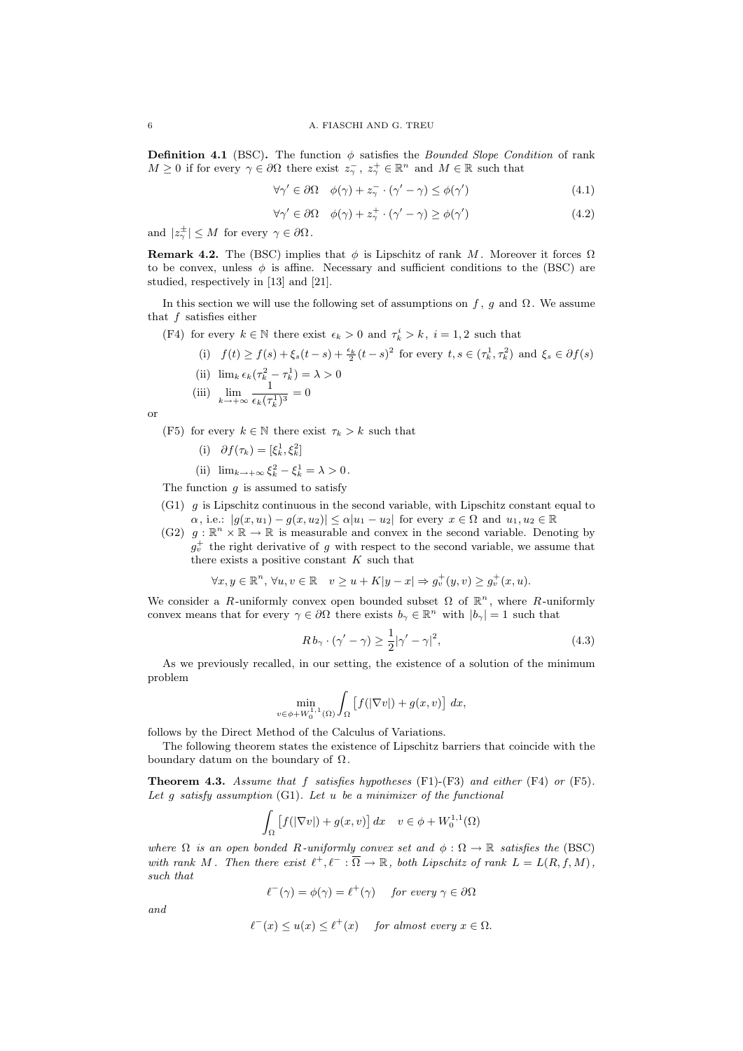**Definition 4.1** (BSC). The function  $\phi$  satisfies the *Bounded Slope Condition* of rank  $M \geq 0$  if for every  $\gamma \in \partial\Omega$  there exist  $z_{\gamma}^-, z_{\gamma}^+ \in \mathbb{R}^n$  and  $M \in \mathbb{R}$  such that

$$
\forall \gamma' \in \partial \Omega \quad \phi(\gamma) + z_{\gamma}^- \cdot (\gamma' - \gamma) \le \phi(\gamma')
$$
\n(4.1)

$$
\forall \gamma' \in \partial \Omega \quad \phi(\gamma) + z_{\gamma}^{+} \cdot (\gamma' - \gamma) \ge \phi(\gamma')
$$
\n(4.2)

and  $|z_{\gamma}^{\pm}| \leq M$  for every  $\gamma \in \partial \Omega$ .

**Remark 4.2.** The (BSC) implies that  $\phi$  is Lipschitz of rank M. Moreover it forces  $\Omega$ to be convex, unless  $\phi$  is affine. Necessary and sufficient conditions to the (BSC) are studied, respectively in [13] and [21].

In this section we will use the following set of assumptions on f, g and  $\Omega$ . We assume that  $f$  satisfies either

- (F4) for every  $k \in \mathbb{N}$  there exist  $\epsilon_k > 0$  and  $\tau_k^i > k$ ,  $i = 1, 2$  such that
	- (i)  $f(t) \ge f(s) + \xi_s(t-s) + \frac{\epsilon_k}{2}(t-s)^2$  for every  $t, s \in (\tau_k^1, \tau_k^2)$  and  $\xi_s \in \partial f(s)$ (ii)  $\lim_k \epsilon_k(\tau_k^2 - \tau_k^1) = \lambda > 0$
	- (iii)  $\lim_{k \to +\infty} \frac{1}{\epsilon_k(\tau)}$  $\frac{1}{\epsilon_k(\tau_k^1)^3} = 0$

or

(F5) for every  $k \in \mathbb{N}$  there exist  $\tau_k > k$  such that

- (i)  $\partial f(\tau_k) = [\xi_k^1, \xi_k^2]$
- (ii)  $\lim_{k \to +\infty} \xi_k^2 \xi_k^1 = \lambda > 0.$

The function  $\alpha$  is assumed to satisfy

- (G1) g is Lipschitz continuous in the second variable, with Lipschitz constant equal to  $\alpha$ , i.e.:  $|g(x, u_1) - g(x, u_2)| \leq \alpha |u_1 - u_2|$  for every  $x \in \Omega$  and  $u_1, u_2 \in \mathbb{R}$
- (G2)  $g: \mathbb{R}^n \times \mathbb{R} \to \mathbb{R}$  is measurable and convex in the second variable. Denoting by  $g_v^+$  the right derivative of g with respect to the second variable, we assume that there exists a positive constant  $K$  such that

 $\forall x, y \in \mathbb{R}^n, \forall u, v \in \mathbb{R} \quad v \geq u + K|y - x| \Rightarrow g_v^+(y, v) \geq g_v^+(x, u).$ 

We consider a R-uniformly convex open bounded subset  $\Omega$  of  $\mathbb{R}^n$ , where R-uniformly convex means that for every  $\gamma \in \partial\Omega$  there exists  $b_{\gamma} \in \mathbb{R}^n$  with  $|b_{\gamma}| = 1$  such that

$$
R b_{\gamma} \cdot (\gamma' - \gamma) \ge \frac{1}{2} |\gamma' - \gamma|^2, \tag{4.3}
$$

As we previously recalled, in our setting, the existence of a solution of the minimum problem

$$
\min_{v \in \phi + W_0^{1,1}(\Omega)} \int_{\Omega} \left[ f(|\nabla v|) + g(x,v) \right] dx,
$$

follows by the Direct Method of the Calculus of Variations.

The following theorem states the existence of Lipschitz barriers that coincide with the boundary datum on the boundary of  $\Omega$ .

**Theorem 4.3.** Assume that f satisfies hypotheses  $(F1)-(F3)$  and either  $(F4)$  or  $(F5)$ . Let g satisfy assumption  $(G1)$ . Let u be a minimizer of the functional

$$
\int_{\Omega} \left[ f(|\nabla v|) + g(x, v) \right] dx \quad v \in \phi + W_0^{1,1}(\Omega)
$$

where  $\Omega$  is an open bonded R-uniformly convex set and  $\phi : \Omega \to \mathbb{R}$  satisfies the (BSC) with rank M. Then there exist  $\ell^+, \ell^- : \overline{\Omega} \to \mathbb{R}$ , both Lipschitz of rank  $L = L(R, f, M)$ , such that

$$
\ell^-(\gamma) = \phi(\gamma) = \ell^+(\gamma) \quad \text{for every } \gamma \in \partial\Omega
$$

and

$$
\ell^-(x) \le u(x) \le \ell^+(x) \quad \text{for almost every } x \in \Omega.
$$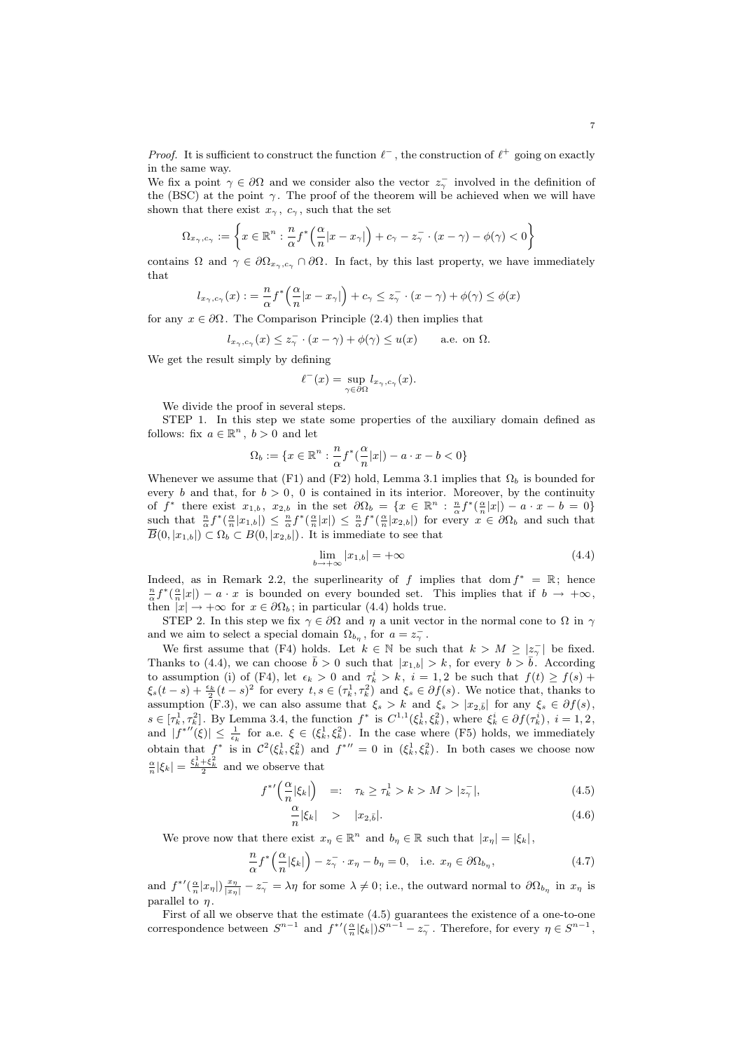*Proof.* It is sufficient to construct the function  $\ell^-$ , the construction of  $\ell^+$  going on exactly in the same way.

We fix a point  $\gamma \in \partial\Omega$  and we consider also the vector  $z_{\gamma}$  involved in the definition of the (BSC) at the point  $\gamma$ . The proof of the theorem will be achieved when we will have shown that there exist  $x_{\gamma}$ ,  $c_{\gamma}$ , such that the set

$$
\Omega_{x_{\gamma},c_{\gamma}} := \left\{ x \in \mathbb{R}^n : \frac{n}{\alpha} f^* \left( \frac{\alpha}{n} |x - x_{\gamma}| \right) + c_{\gamma} - z_{\gamma}^- \cdot (x - \gamma) - \phi(\gamma) < 0 \right\}
$$

contains  $\Omega$  and  $\gamma \in \partial \Omega_{x_{\gamma},c_{\gamma}} \cap \partial \Omega$ . In fact, by this last property, we have immediately that

$$
l_{x_{\gamma},c_{\gamma}}(x) := \frac{n}{\alpha} f^* \left( \frac{\alpha}{n} |x - x_{\gamma}| \right) + c_{\gamma} \leq z_{\gamma}^- \cdot (x - \gamma) + \phi(\gamma) \leq \phi(x)
$$

for any  $x \in \partial \Omega$ . The Comparison Principle (2.4) then implies that

$$
l_{x_{\gamma},c_{\gamma}}(x) \leq z_{\gamma}^{-} \cdot (x - \gamma) + \phi(\gamma) \leq u(x)
$$
 a.e. on  $\Omega$ .

We get the result simply by defining

$$
\ell^-(x) = \sup_{\gamma \in \partial \Omega} l_{x_\gamma, c_\gamma}(x).
$$

We divide the proof in several steps.

STEP 1. In this step we state some properties of the auxiliary domain defined as follows: fix  $a \in \mathbb{R}^n$ ,  $b > 0$  and let

$$
\Omega_b := \{ x \in \mathbb{R}^n : \frac{n}{\alpha} f^*(\frac{\alpha}{n}|x|) - a \cdot x - b < 0 \}
$$

Whenever we assume that (F1) and (F2) hold, Lemma 3.1 implies that  $\Omega_b$  is bounded for every b and that, for  $b > 0$ , 0 is contained in its interior. Moreover, by the continuity of  $f^*$  there exist  $x_{1,b}$ ,  $x_{2,b}$  in the set  $\partial\Omega_b = \{x \in \mathbb{R}^n : \frac{n}{\alpha} f^*(\frac{\alpha}{n}|x|) - a \cdot x - b = 0\}$ such that  $\frac{n}{\alpha} f^*(\frac{\alpha}{n}|x_{1,b}|) \leq \frac{n}{\alpha} f^*(\frac{\alpha}{n}|x|) \leq \frac{n}{\alpha} f^*(\frac{\alpha}{n}|x_{2,b}|)$  for every  $x \in \partial\Omega_b$  and such that  $\overline{B}(0, |x_{1,b}|) \subset \Omega_b \subset B(0, |x_{2,b}|)$ . It is immediate to see that

$$
\lim_{b \to +\infty} |x_{1,b}| = +\infty \tag{4.4}
$$

Indeed, as in Remark 2.2, the superlinearity of f implies that dom  $f^* = \mathbb{R}$ ; hence  $\frac{n}{\alpha}f^*(\frac{\alpha}{n}|x|) - a \cdot x$  is bounded on every bounded set. This implies that if  $b \to +\infty$ , then  $|x| \to +\infty$  for  $x \in \partial\Omega_b$ ; in particular (4.4) holds true.

STEP 2. In this step we fix  $\gamma \in \partial\Omega$  and  $\eta$  a unit vector in the normal cone to  $\Omega$  in  $\gamma$ and we aim to select a special domain  $\Omega_{b_n}$ , for  $a = z_\gamma^-$ .

We first assume that (F4) holds. Let  $k \in \mathbb{N}$  be such that  $k > M \geq |z_{\gamma}^{-}|$  be fixed. Thanks to (4.4), we can choose  $\bar{b} > 0$  such that  $|x_{1,b}| > k$ , for every  $b > \bar{b}$ . According to assumption (i) of (F4), let  $\epsilon_k > 0$  and  $\tau_k^i > k$ ,  $i = 1, 2$  be such that  $f(t) \ge f(s)$  +  $\xi_s(t-s) + \frac{\epsilon_k}{2}(t-s)^2$  for every  $t, s \in (\tau_k^1, \tau_k^2)$  and  $\xi_s \in \partial f(s)$ . We notice that, thanks to assumption (F.3), we can also assume that  $\xi_s > k$  and  $\xi_s > |x_{2,\bar{b}}|$  for any  $\xi_s \in \partial f(s)$ ,  $s \in [\tau_k^1, \tau_k^2]$ . By Lemma 3.4, the function  $f^*$  is  $C^{1,1}(\xi_k^1, \xi_k^2)$ , where  $\xi_k^i \in \partial f(\tau_k^i)$ ,  $i = 1, 2$ , and  $|f^{*}(\xi)| \leq \frac{1}{\epsilon_k}$  for a.e.  $\xi \in (\xi_k^1, \xi_k^2)$ . In the case where (F5) holds, we immediately obtain that  $f^*$  is in  $\mathcal{C}^2(\xi_k^1, \xi_k^2)$  and  $f^{*\prime\prime} = 0$  in  $(\xi_k^1, \xi_k^2)$ . In both cases we choose now  $\frac{\alpha}{n}|\xi_k| = \frac{\xi_k^1 + \xi_k^2}{2}$  and we observe that

$$
f^{*\prime}\left(\frac{\alpha}{n}|\xi_k|\right) \quad =: \quad \tau_k \ge \tau_k^1 > k > M > |z_\gamma^-|,\tag{4.5}
$$

$$
\frac{\alpha}{n}|\xi_k| \quad > \quad |x_{2,\bar{b}}|.\tag{4.6}
$$

We prove now that there exist  $x_{\eta} \in \mathbb{R}^n$  and  $b_{\eta} \in \mathbb{R}$  such that  $|x_{\eta}| = |\xi_k|$ ,

$$
\frac{n}{\alpha} f^* \left( \frac{\alpha}{n} |\xi_k| \right) - z_\gamma^- \cdot x_\eta - b_\eta = 0, \quad \text{i.e. } x_\eta \in \partial \Omega_{b_\eta},\tag{4.7}
$$

and  $f^{*'}(\frac{\alpha}{n}|x_{\eta}|)\frac{x_{\eta}}{|x_{\eta}|}-z_{\gamma}^{-}=\lambda\eta$  for some  $\lambda\neq 0$ ; i.e., the outward normal to  $\partial\Omega_{b_{\eta}}$  in  $x_{\eta}$  is parallel to  $\eta$ .

First of all we observe that the estimate (4.5) guarantees the existence of a one-to-one correspondence between  $S^{n-1}$  and  $f^{*'}(\frac{\alpha}{n}|\xi_k|)S^{n-1} - z_\gamma^-$ . Therefore, for every  $\eta \in S^{n-1}$ ,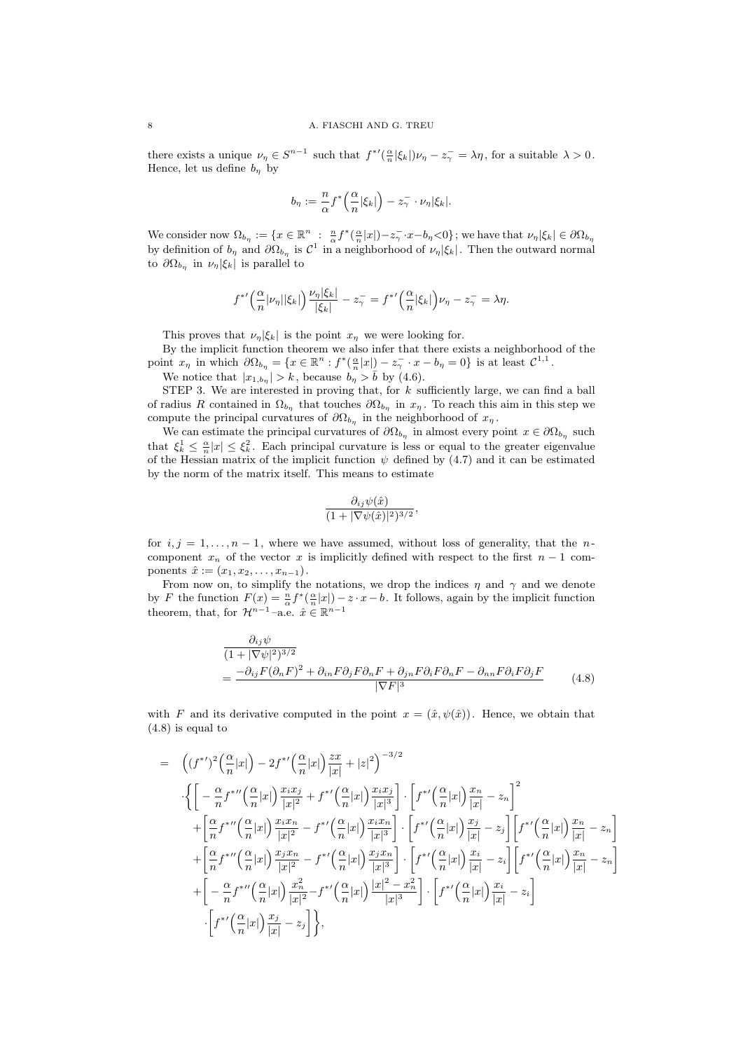there exists a unique  $\nu_{\eta} \in S^{n-1}$  such that  $f^{*'}(\frac{\alpha}{n}|\xi_k|)\nu_{\eta} - z_{\gamma} = \lambda \eta$ , for a suitable  $\lambda > 0$ . Hence, let us define  $b_n$  by

$$
b_{\eta} := \frac{n}{\alpha} f^* \left( \frac{\alpha}{n} |\xi_k| \right) - z_{\gamma}^- \cdot \nu_{\eta} |\xi_k|.
$$

We consider now  $\Omega_{b_{\eta}} := \{x \in \mathbb{R}^n : \frac{n}{\alpha} f^*(\frac{\alpha}{n}|x|) - z_\gamma^- \cdot x - b_\eta \leq 0\}$ ; we have that  $\nu_\eta |\xi_k| \in \partial \Omega_{b_\eta}$ by definition of  $b_{\eta}$  and  $\partial\Omega_{b_{\eta}}$  is  $C^1$  in a neighborhood of  $\nu_{\eta}|\xi_k|$ . Then the outward normal to  $\partial \Omega_{b_{\eta}}$  in  $\nu_{\eta}|\xi_k|$  is parallel to

$$
f^{*\prime}\left(\frac{\alpha}{n}|\nu_{\eta}||\xi_k|\right)\frac{\nu_{\eta}|\xi_k|}{|\xi_k|}-z_{\gamma}^{-}=f^{*\prime}\left(\frac{\alpha}{n}|\xi_k|\right)\nu_{\eta}-z_{\gamma}^{-}=\lambda\eta.
$$

This proves that  $\nu_n|\xi_k|$  is the point  $x_n$  we were looking for.

By the implicit function theorem we also infer that there exists a neighborhood of the point  $x_{\eta}$  in which  $\partial\Omega_{b_{\eta}} = \{x \in \mathbb{R}^n : f^*(\frac{\alpha}{n}|x|) - z_{\gamma}^- \cdot x - b_{\eta} = 0\}$  is at least  $\mathcal{C}^{1,1}$ .

We notice that  $|x_{1,b_{\eta}}| > k$ , because  $b_{\eta} > \bar{b}$  by (4.6).

STEP 3. We are interested in proving that, for  $k$  sufficiently large, we can find a ball of radius R contained in  $\Omega_{b_{\eta}}$  that touches  $\partial\Omega_{b_{\eta}}$  in  $x_{\eta}$ . To reach this aim in this step we compute the principal curvatures of  $\partial\Omega_{b_n}$  in the neighborhood of  $x_n$ .

We can estimate the principal curvatures of  $\partial\Omega_{b_{\eta}}$  in almost every point  $x \in \partial\Omega_{b_{\eta}}$  such that  $\xi_k^1 \leq \frac{\alpha}{n}|x| \leq \xi_k^2$ . Each principal curvature is less or equal to the greater eigenvalue of the Hessian matrix of the implicit function  $\psi$  defined by (4.7) and it can be estimated by the norm of the matrix itself. This means to estimate

$$
\frac{\partial_{ij}\psi(\hat{x})}{(1+|\nabla\psi(\hat{x})|^2)^{3/2}},
$$

for  $i, j = 1, \ldots, n-1$ , where we have assumed, without loss of generality, that the ncomponent  $x_n$  of the vector x is implicitly defined with respect to the first  $n-1$  components  $\hat{x} := (x_1, x_2, \ldots, x_{n-1}).$ 

From now on, to simplify the notations, we drop the indices  $\eta$  and  $\gamma$  and we denote by F the function  $F(x) = \frac{n}{\alpha} f^*(\frac{\alpha}{n}|x|) - z \cdot x - b$ . It follows, again by the implicit function theorem, that, for  $\mathcal{H}^{n-1}$ -a.e.  $\hat{x} \in \mathbb{R}^{n-1}$ 

$$
\frac{\partial_{ij}\psi}{(1+|\nabla\psi|^2)^{3/2}} = \frac{-\partial_{ij}F(\partial_nF)^2 + \partial_{in}F\partial_jF\partial_nF + \partial_{jn}F\partial_iF\partial_nF - \partial_{nn}F\partial_iF\partial_jF}{|\nabla F|^3}
$$
(4.8)

with F and its derivative computed in the point  $x = (\hat{x}, \psi(\hat{x}))$ . Hence, we obtain that (4.8) is equal to

$$
= \left( (f^{*})^{2} \left( \frac{\alpha}{n} |x| \right) - 2 f^{*} \left( \frac{\alpha}{n} |x| \right) \frac{zx}{|x|} + |z|^{2} \right)^{-3/2}
$$
  
\n
$$
\cdot \left\{ \left[ -\frac{\alpha}{n} f^{*} \left( \frac{\alpha}{n} |x| \right) \frac{x_{i} x_{j}}{|x|^{2}} + f^{*} \left( \frac{\alpha}{n} |x| \right) \frac{x_{i} x_{j}}{|x|^{3}} \right] \cdot \left[ f^{*} \left( \frac{\alpha}{n} |x| \right) \frac{x_{n}}{|x|} - z_{n} \right]^{2}
$$
  
\n
$$
+ \left[ \frac{\alpha}{n} f^{*} \left( \frac{\alpha}{n} |x| \right) \frac{x_{i} x_{n}}{|x|^{2}} - f^{*} \left( \frac{\alpha}{n} |x| \right) \frac{x_{i} x_{n}}{|x|^{3}} \right] \cdot \left[ f^{*} \left( \frac{\alpha}{n} |x| \right) \frac{x_{j}}{|x|} - z_{j} \right] \left[ f^{*} \left( \frac{\alpha}{n} |x| \right) \frac{x_{n}}{|x|} - z_{n} \right]
$$
  
\n
$$
+ \left[ \frac{\alpha}{n} f^{*} \left( \frac{\alpha}{n} |x| \right) \frac{x_{j} x_{n}}{|x|^{2}} - f^{*} \left( \frac{\alpha}{n} |x| \right) \frac{x_{j} x_{n}}{|x|^{3}} \right] \cdot \left[ f^{*} \left( \frac{\alpha}{n} |x| \right) \frac{x_{i}}{|x|} - z_{i} \right] \left[ f^{*} \left( \frac{\alpha}{n} |x| \right) \frac{x_{n}}{|x|} - z_{n} \right]
$$
  
\n
$$
+ \left[ -\frac{\alpha}{n} f^{*} \left( \frac{\alpha}{n} |x| \right) \frac{x_{n}^{2}}{|x|^{2}} - f^{*} \left( \frac{\alpha}{n} |x| \right) \frac{|x|^{2} - x_{n}^{2}}{|x|^{3}} \right] \cdot \left[ f^{*} \left( \frac{\alpha}{n} |x| \right) \frac{x_{i}}{|x|} - z_{i} \right]
$$
  
\n
$$
\cdot \left[ f^{*} \left( \frac
$$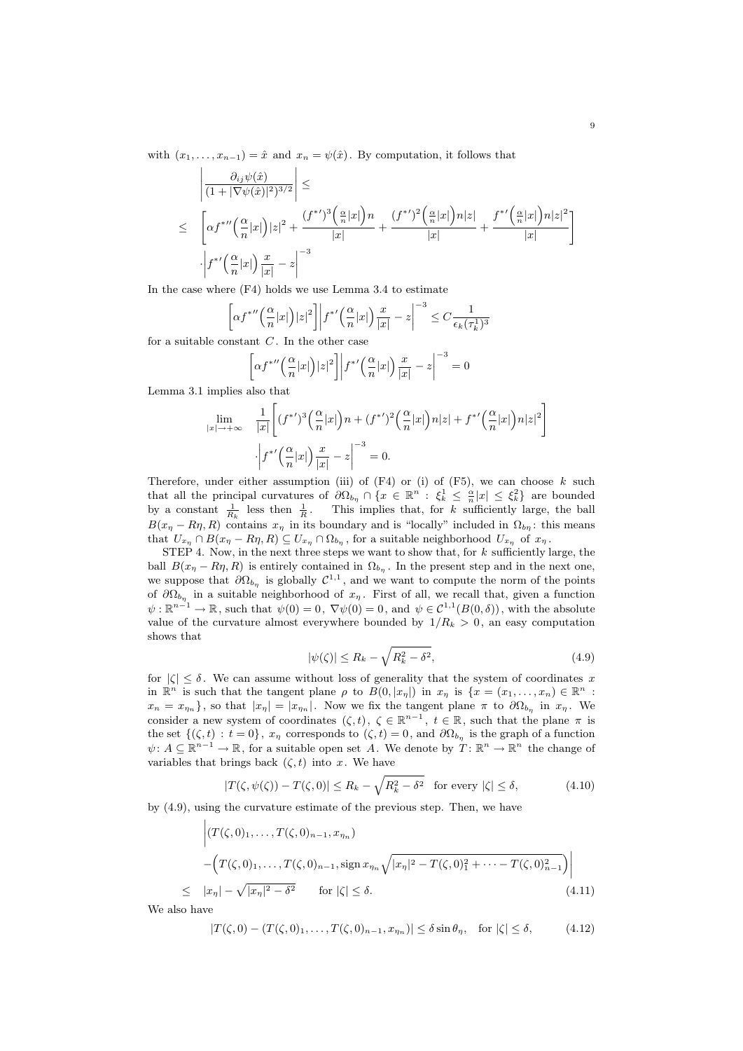with  $(x_1, \ldots, x_{n-1}) = \hat{x}$  and  $x_n = \psi(\hat{x})$ . By computation, it follows that

$$
\left| \frac{\partial_{ij}\psi(\hat{x})}{(1+|\nabla\psi(\hat{x})|^2)^{3/2}} \right| \leq
$$
\n
$$
\leq \left[ \alpha f^{* \prime \prime} \left( \frac{\alpha}{n} |x| \right) |z|^2 + \frac{(f^{* \prime})^3 \left( \frac{\alpha}{n} |x| \right) n}{|x|} + \frac{(f^{* \prime})^2 \left( \frac{\alpha}{n} |x| \right) n |z|}{|x|} + \frac{f^{* \prime} \left( \frac{\alpha}{n} |x| \right) n |z|^2}{|x|} \right]
$$
\n
$$
\cdot \left| f^{* \prime} \left( \frac{\alpha}{n} |x| \right) \frac{x}{|x|} - z \right|^{-3}
$$

In the case where (F4) holds we use Lemma 3.4 to estimate

$$
\left[\alpha f^{*} \left( \frac{\alpha}{n} |x| \right) |z|^2 \right] \left| f^{*} \left( \frac{\alpha}{n} |x| \right) \frac{x}{|x|} - z \right|^{-3} \leq C \frac{1}{\epsilon_k (\tau_k^1)^3}
$$

for a suitable constant  $C$ . In the other case

$$
\[\alpha f^{*} \left( \frac{\alpha}{n} |x| \right) |z|^2\] \left| f^{*} \left( \frac{\alpha}{n} |x| \right) \frac{x}{|x|} - z \right|^{-3} = 0
$$

Lemma 3.1 implies also that

 $|x|$ 

$$
\lim_{|\to +\infty} \quad \frac{1}{|x|} \left[ (f^{*})^3 \left( \frac{\alpha}{n} |x| \right) n + (f^{*})^2 \left( \frac{\alpha}{n} |x| \right) n |z| + f^{*} \left( \frac{\alpha}{n} |x| \right) n |z|^2 \right]
$$
\n
$$
\cdot \left| f^{*} \left( \frac{\alpha}{n} |x| \right) \frac{x}{|x|} - z \right|^{-3} = 0.
$$

Therefore, under either assumption (iii) of  $(F4)$  or (i) of  $(F5)$ , we can choose k such that all the principal curvatures of  $\partial\Omega_{b_n} \cap \{x \in \mathbb{R}^n : \xi_k^1 \leq \frac{\alpha}{n}|x| \leq \xi_k^2\}$  are bounded by a constant  $\frac{1}{R_k}$  less then  $\frac{1}{R}$ . This implies that, for k sufficiently large, the ball  $B(x_n - R\eta, R)$  contains  $x_n$  in its boundary and is "locally" included in  $\Omega_{b\eta}$ : this means that  $U_{x_{\eta}} \cap B(x_{\eta} - R\eta, R) \subseteq U_{x_{\eta}} \cap \Omega_{b_{\eta}}$ , for a suitable neighborhood  $U_{x_{\eta}}$  of  $x_{\eta}$ .

STEP 4. Now, in the next three steps we want to show that, for  $k$  sufficiently large, the ball  $B(x_n - R\eta, R)$  is entirely contained in  $\Omega_{b_n}$ . In the present step and in the next one, we suppose that  $\partial \Omega_{b_{\eta}}$  is globally  $\mathcal{C}^{1,1}$ , and we want to compute the norm of the points of  $\partial\Omega_{b_{\eta}}$  in a suitable neighborhood of  $x_{\eta}$ . First of all, we recall that, given a function  $\psi : \mathbb{R}^{n-1} \to \mathbb{R}$ , such that  $\psi(0) = 0$ ,  $\nabla \psi(0) = 0$ , and  $\psi \in C^{1,1}(B(0,\delta))$ , with the absolute value of the curvature almost everywhere bounded by  $1/R_k > 0$ , an easy computation shows that

$$
|\psi(\zeta)| \le R_k - \sqrt{R_k^2 - \delta^2},\tag{4.9}
$$

for  $|\zeta| \leq \delta$ . We can assume without loss of generality that the system of coordinates x in  $\mathbb{R}^n$  is such that the tangent plane  $\rho$  to  $B(0, |x_\eta|)$  in  $x_\eta$  is  $\{x = (x_1, \ldots, x_n) \in \mathbb{R}^n$ :  $x_n = x_{\eta_n}$ , so that  $|x_{\eta}| = |x_{\eta_n}|$ . Now we fix the tangent plane  $\pi$  to  $\partial\Omega_{b_{\eta}}$  in  $x_{\eta}$ . We consider a new system of coordinates  $(\zeta, t)$ ,  $\zeta \in \mathbb{R}^{n-1}$ ,  $t \in \mathbb{R}$ , such that the plane  $\pi$  is the set  $\{(\zeta, t): t = 0\}, x_{\eta}$  corresponds to  $(\zeta, t) = 0$ , and  $\partial\Omega_{b_{\eta}}$  is the graph of a function  $\psi: A \subseteq \mathbb{R}^{n-1} \to \mathbb{R}$ , for a suitable open set A. We denote by  $T: \mathbb{R}^n \to \mathbb{R}^n$  the change of variables that brings back  $(\zeta, t)$  into x. We have

$$
|T(\zeta, \psi(\zeta)) - T(\zeta, 0)| \le R_k - \sqrt{R_k^2 - \delta^2} \quad \text{for every } |\zeta| \le \delta,
$$
 (4.10)

by (4.9), using the curvature estimate of the previous step. Then, we have

$$
\left| (T(\zeta, 0)_1, \dots, T(\zeta, 0)_{n-1}, x_{\eta_n}) \right|
$$
  
 
$$
- \left( T(\zeta, 0)_1, \dots, T(\zeta, 0)_{n-1}, \text{sign } x_{\eta_n} \sqrt{|x_\eta|^2 - T(\zeta, 0)_1^2 + \dots - T(\zeta, 0)_{n-1}^2} \right) \right|
$$
  
\n
$$
\leq |x_\eta| - \sqrt{|x_\eta|^2 - \delta^2} \quad \text{for } |\zeta| \leq \delta.
$$
 (4.11)

We also have

$$
|T(\zeta,0) - (T(\zeta,0)_1,\ldots,T(\zeta,0)_{n-1},x_{\eta_n})| \le \delta \sin \theta_\eta, \quad \text{for } |\zeta| \le \delta,
$$
 (4.12)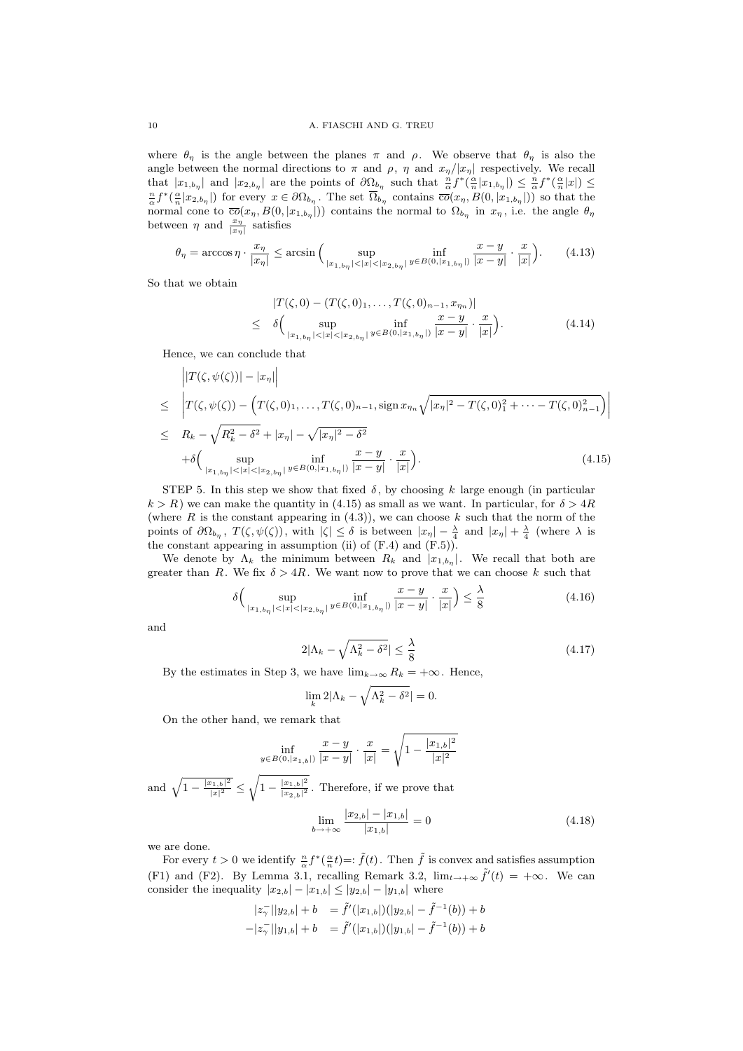where  $\theta_{\eta}$  is the angle between the planes  $\pi$  and  $\rho$ . We observe that  $\theta_{\eta}$  is also the angle between the normal directions to  $\pi$  and  $\rho$ ,  $\eta$  and  $x_{\eta}/|x_{\eta}|$  respectively. We recall that  $|x_{1,b_{\eta}}|$  and  $|x_{2,b_{\eta}}|$  are the points of  $\partial\Omega_{b_{\eta}}$  such that  $\frac{n}{\alpha}f^*(\frac{\alpha}{n}|x_{1,b_{\eta}}|) \leq \frac{n}{\alpha}f^*(\frac{\alpha}{n}|x|) \leq$  $\frac{n}{\alpha}f^*(\frac{\alpha}{n}|x_{2,b_{\eta}}|)$  for every  $x \in \partial\Omega_{b_{\eta}}$ . The set  $\overline{\Omega}_{b_{\eta}}$  contains  $\overline{co}(x_{\eta}, B(0, |x_{1,b_{\eta}}|))$  so that the normal cone to  $\overline{co}(x_n, B(0, |x_{1,b_n}|))$  contains the normal to  $\Omega_{b_n}$  in  $x_n$ , i.e. the angle  $\theta_n$ between  $\eta$  and  $\frac{x_{\eta}}{|x_{\eta}|}$  satisfies

$$
\theta_{\eta} = \arccos \eta \cdot \frac{x_{\eta}}{|x_{\eta}|} \le \arcsin \Big( \sup_{|x_{1,b_{\eta}}| < |x| < |x_{2,b_{\eta}}|} \inf_{y \in B(0,|x_{1,b_{\eta}}|)} \frac{x-y}{|x-y|} \cdot \frac{x}{|x|} \Big). \tag{4.13}
$$

So that we obtain

$$
|T(\zeta, 0) - (T(\zeta, 0)_1, \dots, T(\zeta, 0)_{n-1}, x_{\eta_n})|
$$
  
\n
$$
\leq \delta \Big( \sup_{|x_{1,b\eta}| < |x| < |x_{2,b\eta}|} \inf_{y \in B(0, |x_{1,b\eta}|)} \frac{x - y}{|x - y|} \cdot \frac{x}{|x|} \Big). \tag{4.14}
$$

Hence, we can conclude that

$$
\left|T(\zeta, \psi(\zeta))\right| - |x_{\eta}|\right|
$$
\n
$$
\leq \left|T(\zeta, \psi(\zeta)) - \left(T(\zeta, 0)_{1}, \dots, T(\zeta, 0)_{n-1}, \text{sign}\,x_{\eta_{n}}\sqrt{|x_{\eta}|^{2} - T(\zeta, 0)_{1}^{2} + \dots - T(\zeta, 0)_{n-1}^{2}}\right)\right|
$$
\n
$$
\leq R_{k} - \sqrt{R_{k}^{2} - \delta^{2}} + |x_{\eta}| - \sqrt{|x_{\eta}|^{2} - \delta^{2}}
$$
\n
$$
+ \delta \left(\sup_{|x_{1, b_{\eta}}| < |x_{2, b_{\eta}}|} \inf_{y \in B(0, |x_{1, b_{\eta}}|)} \frac{x - y}{|x - y|} \cdot \frac{x}{|x|}\right). \tag{4.15}
$$

STEP 5. In this step we show that fixed  $\delta$ , by choosing k large enough (in particular  $k > R$ ) we can make the quantity in (4.15) as small as we want. In particular, for  $\delta > 4R$ (where  $R$  is the constant appearing in (4.3)), we can choose  $k$  such that the norm of the points of  $\partial\Omega_{b_\eta}$ ,  $T(\zeta, \psi(\zeta))$ , with  $|\zeta| \leq \delta$  is between  $|x_\eta| - \frac{\lambda}{4}$  and  $|x_\eta| + \frac{\lambda}{4}$  (where  $\lambda$  is the constant appearing in assumption (ii) of  $(F.4)$  and  $(F.5)$ ).

We denote by  $\Lambda_k$  the minimum between  $R_k$  and  $|x_{1,b_{\eta}}|$ . We recall that both are greater than R. We fix  $\delta > 4R$ . We want now to prove that we can choose k such that

$$
\delta\Big(\sup_{|x_{1,b_{\eta}}|<|x|<|x_{2,b_{\eta}}|} \inf_{y\in B(0,|x_{1,b_{\eta}}|)} \frac{x-y}{|x-y|} \cdot \frac{x}{|x|}\Big) \le \frac{\lambda}{8}
$$
\n(4.16)

and

$$
2|\Lambda_k - \sqrt{\Lambda_k^2 - \delta^2}| \le \frac{\lambda}{8} \tag{4.17}
$$

By the estimates in Step 3, we have  $\lim_{k\to\infty} R_k = +\infty$ . Hence,

$$
\lim_{k} 2|\Lambda_k - \sqrt{\Lambda_k^2 - \delta^2}| = 0.
$$

On the other hand, we remark that

$$
\inf_{y \in B(0, |x_{1,b}|)} \frac{x-y}{|x-y|} \cdot \frac{x}{|x|} = \sqrt{1 - \frac{|x_{1,b}|^2}{|x|^2}}
$$

and  $\sqrt{1 - \frac{|x_{1,b}|^2}{|x|^2}}$  $\frac{\sqrt{x_{1,b}|^2}}{|x|^2} \leq \sqrt{1 - \frac{|x_{1,b}|^2}{|x_{2,b}|^2}}$  $\frac{|x_{1,b}|^2}{|x_{2,b}|^2}$ . Therefore, if we prove that

$$
\lim_{b \to +\infty} \frac{|x_{2,b}| - |x_{1,b}|}{|x_{1,b}|} = 0
$$
\n(4.18)

we are done.

For every  $t > 0$  we identify  $\frac{n}{\alpha} f^*(\frac{\alpha}{n}t) =: \tilde{f}(t)$ . Then  $\tilde{f}$  is convex and satisfies assumption (F1) and (F2). By Lemma 3.1, recalling Remark 3.2,  $\lim_{t\to+\infty} \tilde{f}'(t) = +\infty$ . We can consider the inequality  $|x_{2,b}| - |x_{1,b}| \le |y_{2,b}| - |y_{1,b}|$  where

$$
|z_{\gamma}^-||y_{2,b}| + b = \tilde{f}'(|x_{1,b}|)(|y_{2,b}| - \tilde{f}^{-1}(b)) + b
$$
  

$$
-|z_{\gamma}^-||y_{1,b}| + b = \tilde{f}'(|x_{1,b}|)(|y_{1,b}| - \tilde{f}^{-1}(b)) + b
$$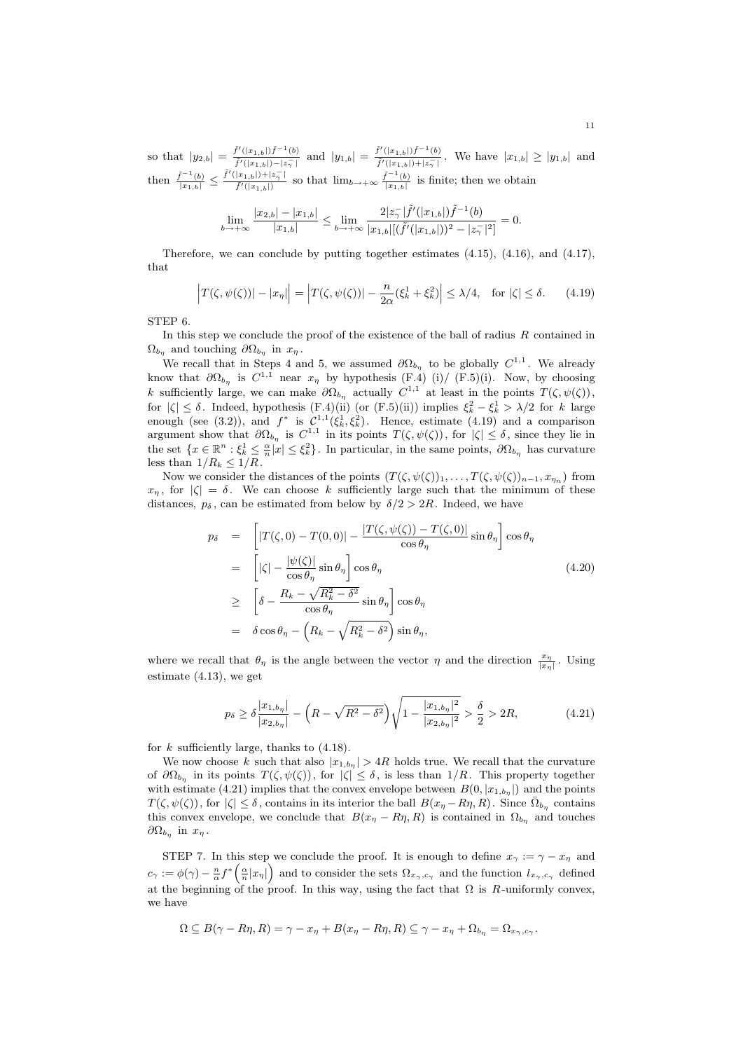so that  $|y_{2,b}| = \frac{\tilde{f}'(|x_{1,b}|) \tilde{f}^{-1}(b)}{\tilde{f}'(|x_{1,b}|) |\tilde{f}^{-1}|}$  $\frac{\tilde{f}'(|x_{1,b}|)\tilde{f}^{-1}(b)}{\tilde{f}'(|x_{1,b}|)-|z_{\gamma}^{-}|}$  and  $|y_{1,b}| = \frac{\tilde{f}'(|x_{1,b}|)\tilde{f}^{-1}(b)}{\tilde{f}'(|x_{1,b}|)+|z_{\gamma}^{-}|}$  $\frac{f'(|x_{1,b}|)f''(y)}{f'(|x_{1,b}|)+|z_{\gamma}^-|}$ . We have  $|x_{1,b}| \ge |y_{1,b}|$  and then  $\frac{\tilde{f}^{-1}(b)}{|x_{1,b}|} \leq \frac{\tilde{f}'(|x_{1,b}|)+|z_{\gamma}^{-}|}{\tilde{f}'(|x_{1,b}|)}$  $\frac{|x_{1,b}|+|z_{\gamma}^{-}|}{\tilde{f}'(|x_{1,b}|)}$  so that  $\lim_{b\to+\infty}\frac{\tilde{f}^{-1}(b)}{|x_{1,b}|}$  $\frac{f^{-1}(b)}{|x_{1,b}|}$  is finite; then we obtain

$$
\lim_{b \to +\infty} \frac{|x_{2,b}|-|x_{1,b}|}{|x_{1,b}|} \le \lim_{b \to +\infty} \frac{2|z_{\gamma}^-|\tilde{f}'(|x_{1,b}|)\tilde{f}^{-1}(b)}{|x_{1,b}|[(\tilde{f}'(|x_{1,b}|))^2-|z_{\gamma}^-|^2]} = 0.
$$

Therefore, we can conclude by putting together estimates (4.15), (4.16), and (4.17), that

$$
\left|T(\zeta, \psi(\zeta))\right| - |x_{\eta}|\right| = \left|T(\zeta, \psi(\zeta))\right| - \frac{n}{2\alpha}(\xi_k^1 + \xi_k^2)\right| \le \lambda/4, \text{ for } |\zeta| \le \delta. \tag{4.19}
$$

STEP 6.

In this step we conclude the proof of the existence of the ball of radius  $R$  contained in  $\Omega_{b_{\eta}}$  and touching  $\partial\Omega_{b_{\eta}}$  in  $x_{\eta}$ .

We recall that in Steps 4 and 5, we assumed  $\partial\Omega_{b_{\eta}}$  to be globally  $C^{1,1}$ . We already know that  $\partial\Omega_{b_{\eta}}$  is  $C^{1,1}$  near  $x_{\eta}$  by hypothesis (F.4) (i)/ (F.5)(i). Now, by choosing k sufficiently large, we can make  $\partial\Omega_{b_n}$  actually  $C^{1,1}$  at least in the points  $T(\zeta, \psi(\zeta))$ , for  $|\zeta| \leq \delta$ . Indeed, hypothesis (F.4)(ii) (or (F.5)(ii)) implies  $\xi_k^2 - \xi_k^1 > \lambda/2$  for k large enough (see (3.2)), and  $f^*$  is  $C^{1,1}(\xi_k^1, \xi_k^2)$ . Hence, estimate (4.19) and a comparison argument show that  $\partial\Omega_{b_{\eta}}$  is  $C^{1,1}$  in its points  $T(\zeta, \psi(\zeta))$ , for  $|\zeta| \leq \delta$ , since they lie in the set  $\{x \in \mathbb{R}^n : \xi_k^1 \leq \frac{\alpha}{n}|x| \leq \xi_k^2\}$ . In particular, in the same points,  $\partial \Omega_{b_\eta}$  has curvature less than  $1/R_k \leq 1/R$ .

Now we consider the distances of the points  $(T(\zeta, \psi(\zeta))_1, \ldots, T(\zeta, \psi(\zeta))_{n-1}, x_{\eta_n})$  from  $x_{\eta}$ , for  $|\zeta| = \delta$ . We can choose k sufficiently large such that the minimum of these distances,  $p_{\delta}$ , can be estimated from below by  $\delta/2 > 2R$ . Indeed, we have

$$
p_{\delta} = \left[|T(\zeta, 0) - T(0, 0)| - \frac{|T(\zeta, \psi(\zeta)) - T(\zeta, 0)|}{\cos \theta_{\eta}} \sin \theta_{\eta}\right] \cos \theta_{\eta}
$$
  
\n
$$
= \left[|\zeta| - \frac{|\psi(\zeta)|}{\cos \theta_{\eta}} \sin \theta_{\eta}\right] \cos \theta_{\eta}
$$
  
\n
$$
\geq \left[\delta - \frac{R_{k} - \sqrt{R_{k}^{2} - \delta^{2}}}{\cos \theta_{\eta}} \sin \theta_{\eta}\right] \cos \theta_{\eta}
$$
  
\n
$$
= \delta \cos \theta_{\eta} - \left(R_{k} - \sqrt{R_{k}^{2} - \delta^{2}}\right) \sin \theta_{\eta},
$$
  
\n(4.20)

where we recall that  $\theta_{\eta}$  is the angle between the vector  $\eta$  and the direction  $\frac{x_{\eta}}{|x_{\eta}|}$ . Using estimate (4.13), we get

$$
p_{\delta} \ge \delta \frac{|x_{1,b_{\eta}}|}{|x_{2,b_{\eta}}|} - \left(R - \sqrt{R^2 - \delta^2}\right) \sqrt{1 - \frac{|x_{1,b_{\eta}}|^2}{|x_{2,b_{\eta}}|^2}} > \frac{\delta}{2} > 2R,\tag{4.21}
$$

for  $k$  sufficiently large, thanks to  $(4.18)$ .

We now choose k such that also  $|x_{1,b_n}| > 4R$  holds true. We recall that the curvature of  $\partial\Omega_{b_{\eta}}$  in its points  $T(\zeta, \psi(\zeta))$ , for  $|\zeta| \leq \delta$ , is less than  $1/R$ . This property together with estimate (4.21) implies that the convex envelope between  $B(0, |x_{1,b_{\eta}}|)$  and the points  $T(\zeta, \psi(\zeta))$ , for  $|\zeta| \leq \delta$ , contains in its interior the ball  $B(x_{\eta} - R\eta, R)$ . Since  $\bar{\Omega}_{b_{\eta}}$  contains this convex envelope, we conclude that  $B(x_n - R\eta, R)$  is contained in  $\Omega_{b_n}$  and touches  $\partial\Omega_{b_{\eta}}$  in  $x_{\eta}$ .

STEP 7. In this step we conclude the proof. It is enough to define  $x_{\gamma} := \gamma - x_{\eta}$  and  $c_{\gamma} := \phi(\gamma) - \frac{n}{\alpha} f^* \left( \frac{\alpha}{n} |x_{\eta}| \right)$  and to consider the sets  $\Omega_{x_{\gamma}, c_{\gamma}}$  and the function  $l_{x_{\gamma}, c_{\gamma}}$  defined at the beginning of the proof. In this way, using the fact that  $\Omega$  is R-uniformly convex, we have

$$
\Omega \subseteq B(\gamma - R\eta, R) = \gamma - x_{\eta} + B(x_{\eta} - R\eta, R) \subseteq \gamma - x_{\eta} + \Omega_{b_{\eta}} = \Omega_{x_{\gamma}, c_{\gamma}}.
$$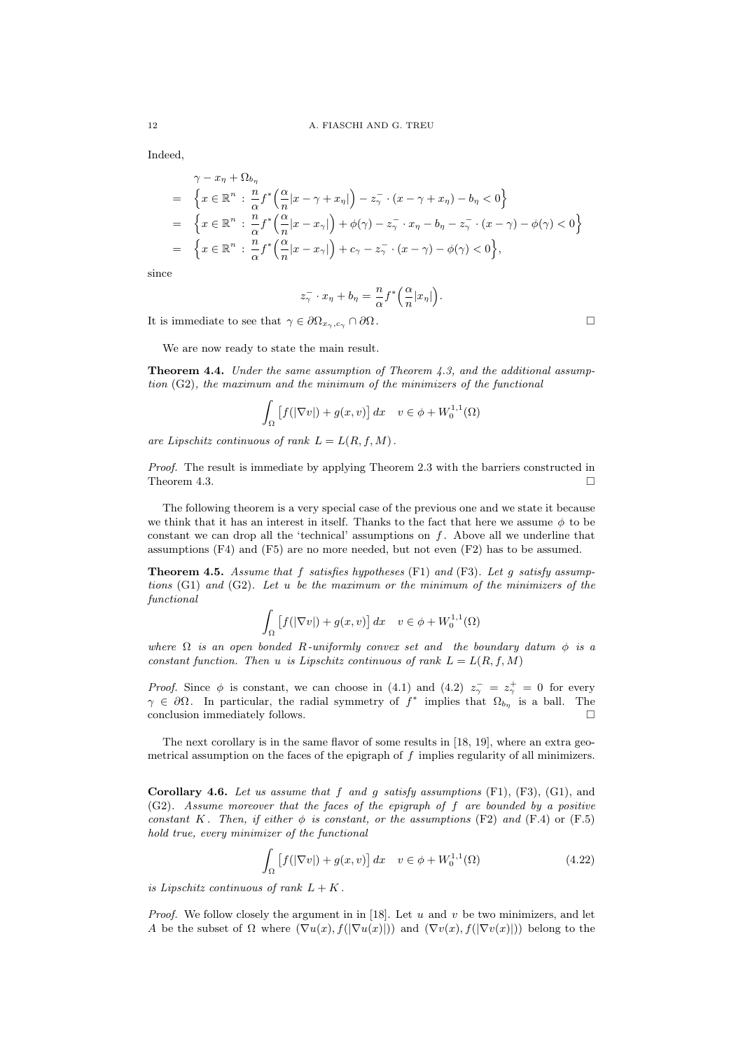Indeed,

$$
\gamma - x_{\eta} + \Omega_{b_{\eta}}
$$
\n
$$
= \left\{ x \in \mathbb{R}^{n} : \frac{n}{\alpha} f^{*} \left( \frac{\alpha}{n} |x - \gamma + x_{\eta}| \right) - z_{\gamma}^{-} \cdot (x - \gamma + x_{\eta}) - b_{\eta} < 0 \right\}
$$
\n
$$
= \left\{ x \in \mathbb{R}^{n} : \frac{n}{\alpha} f^{*} \left( \frac{\alpha}{n} |x - x_{\gamma}| \right) + \phi(\gamma) - z_{\gamma}^{-} \cdot x_{\eta} - b_{\eta} - z_{\gamma}^{-} \cdot (x - \gamma) - \phi(\gamma) < 0 \right\}
$$
\n
$$
= \left\{ x \in \mathbb{R}^{n} : \frac{n}{\alpha} f^{*} \left( \frac{\alpha}{n} |x - x_{\gamma}| \right) + c_{\gamma} - z_{\gamma}^{-} \cdot (x - \gamma) - \phi(\gamma) < 0 \right\},
$$

since

$$
z_{\gamma}^{-} \cdot x_{\eta} + b_{\eta} = \frac{n}{\alpha} f^{*} \left( \frac{\alpha}{n} |x_{\eta}| \right).
$$

It is immediate to see that  $\gamma \in \partial \Omega_{x_{\gamma},c_{\gamma}} \cap \partial \Omega$ .

We are now ready to state the main result.

**Theorem 4.4.** Under the same assumption of Theorem 4.3, and the additional assumption (G2), the maximum and the minimum of the minimizers of the functional

$$
\int_{\Omega} \left[ f(|\nabla v|) + g(x, v) \right] dx \quad v \in \phi + W_0^{1,1}(\Omega)
$$

are Lipschitz continuous of rank  $L = L(R, f, M)$ .

Proof. The result is immediate by applying Theorem 2.3 with the barriers constructed in Theorem 4.3.

The following theorem is a very special case of the previous one and we state it because we think that it has an interest in itself. Thanks to the fact that here we assume  $\phi$  to be constant we can drop all the 'technical' assumptions on  $f$ . Above all we underline that assumptions (F4) and (F5) are no more needed, but not even (F2) has to be assumed.

**Theorem 4.5.** Assume that f satisfies hypotheses  $(F1)$  and  $(F3)$ . Let g satisfy assumptions  $(G1)$  and  $(G2)$ . Let u be the maximum or the minimum of the minimizers of the functional

$$
\int_{\Omega} \left[ f(|\nabla v|) + g(x, v) \right] dx \quad v \in \phi + W_0^{1,1}(\Omega)
$$

where  $\Omega$  is an open bonded R-uniformly convex set and the boundary datum  $\phi$  is a constant function. Then u is Lipschitz continuous of rank  $L = L(R, f, M)$ 

*Proof.* Since  $\phi$  is constant, we can choose in (4.1) and (4.2)  $z_{\gamma}^{-} = z_{\gamma}^{+} = 0$  for every  $\gamma \in \partial\Omega$ . In particular, the radial symmetry of  $f^*$  implies that  $\Omega_{b_{\eta}}$  is a ball. The conclusion immediately follows.  $\square$ 

The next corollary is in the same flavor of some results in [18, 19], where an extra geometrical assumption on the faces of the epigraph of  $f$  implies regularity of all minimizers.

Corollary 4.6. Let us assume that f and g satisfy assumptions  $(F1)$ ,  $(F3)$ ,  $(G1)$ , and  $(G2)$ . Assume moreover that the faces of the epigraph of f are bounded by a positive constant K. Then, if either  $\phi$  is constant, or the assumptions (F2) and (F.4) or (F.5) hold true, every minimizer of the functional

$$
\int_{\Omega} \left[ f(|\nabla v|) + g(x, v) \right] dx \quad v \in \phi + W_0^{1,1}(\Omega)
$$
\n(4.22)

is Lipschitz continuous of rank  $L + K$ .

*Proof.* We follow closely the argument in in [18]. Let u and v be two minimizers, and let A be the subset of  $\Omega$  where  $(\nabla u(x), f(|\nabla u(x)|))$  and  $(\nabla v(x), f(|\nabla v(x)|))$  belong to the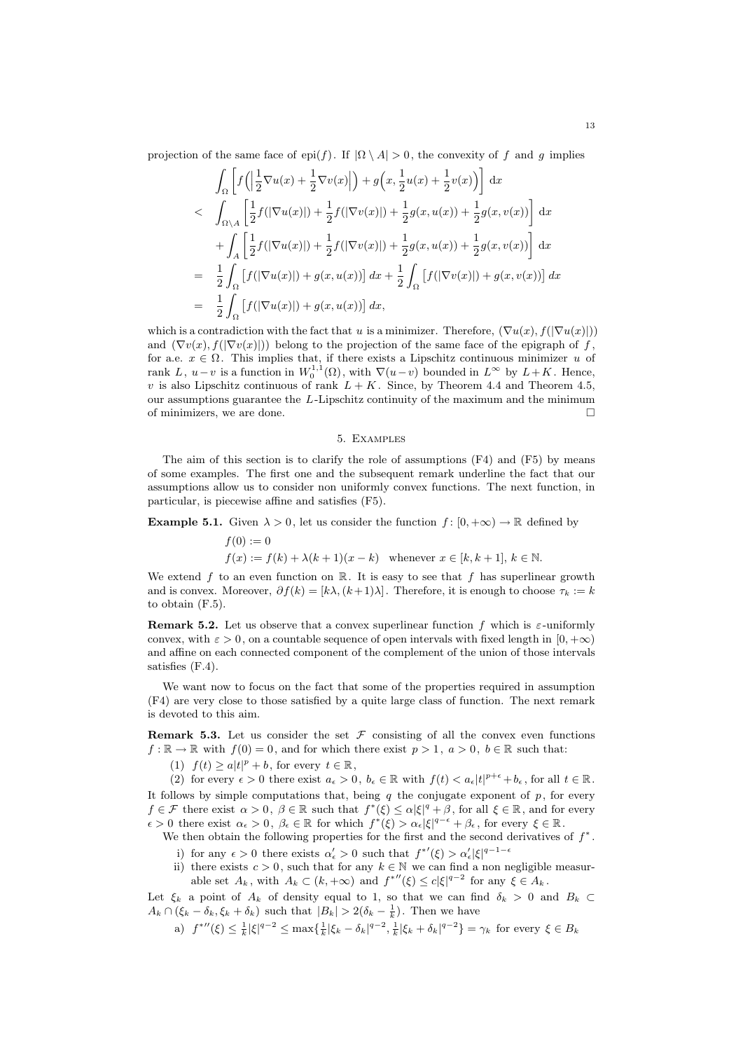projection of the same face of epi(f). If  $|\Omega \setminus A| > 0$ , the convexity of f and g implies

$$
\int_{\Omega} \left[ f\left( \left| \frac{1}{2} \nabla u(x) + \frac{1}{2} \nabla v(x) \right| \right) + g\left( x, \frac{1}{2} u(x) + \frac{1}{2} v(x) \right) \right] dx
$$
\n
$$
< \int_{\Omega \setminus A} \left[ \frac{1}{2} f(|\nabla u(x)|) + \frac{1}{2} f(|\nabla v(x)|) + \frac{1}{2} g(x, u(x)) + \frac{1}{2} g(x, v(x)) \right] dx
$$
\n
$$
+ \int_{A} \left[ \frac{1}{2} f(|\nabla u(x)|) + \frac{1}{2} f(|\nabla v(x)|) + \frac{1}{2} g(x, u(x)) + \frac{1}{2} g(x, v(x)) \right] dx
$$
\n
$$
= \frac{1}{2} \int_{\Omega} \left[ f(|\nabla u(x)|) + g(x, u(x)) \right] dx + \frac{1}{2} \int_{\Omega} \left[ f(|\nabla v(x)|) + g(x, v(x)) \right] dx
$$
\n
$$
= \frac{1}{2} \int_{\Omega} \left[ f(|\nabla u(x)|) + g(x, u(x)) \right] dx,
$$

which is a contradiction with the fact that u is a minimizer. Therefore,  $(\nabla u(x), f(|\nabla u(x)|))$ and  $(\nabla v(x), f(|\nabla v(x)|))$  belong to the projection of the same face of the epigraph of f, for a.e.  $x \in \Omega$ . This implies that, if there exists a Lipschitz continuous minimizer u of rank L,  $u-v$  is a function in  $W_0^{1,1}(\Omega)$ , with  $\nabla(u-v)$  bounded in  $L^{\infty}$  by  $L+K$ . Hence, v is also Lipschitz continuous of rank  $L + K$ . Since, by Theorem 4.4 and Theorem 4.5, our assumptions guarantee the  $L$ -Lipschitz continuity of the maximum and the minimum of minimizers, we are done.

# 5. Examples

The aim of this section is to clarify the role of assumptions (F4) and (F5) by means of some examples. The first one and the subsequent remark underline the fact that our assumptions allow us to consider non uniformly convex functions. The next function, in particular, is piecewise affine and satisfies (F5).

**Example 5.1.** Given  $\lambda > 0$ , let us consider the function  $f : [0, +\infty) \to \mathbb{R}$  defined by

$$
f(0) := 0
$$
  
\n $f(x) := f(k) + \lambda(k+1)(x-k)$  whenever  $x \in [k, k+1], k \in \mathbb{N}$ .

We extend f to an even function on  $\mathbb{R}$ . It is easy to see that f has superlinear growth and is convex. Moreover,  $\partial f(k) = [k\lambda, (k+1)\lambda]$ . Therefore, it is enough to choose  $\tau_k := k$ to obtain (F.5).

**Remark 5.2.** Let us observe that a convex superlinear function f which is  $\varepsilon$ -uniformly convex, with  $\varepsilon > 0$ , on a countable sequence of open intervals with fixed length in  $[0, +\infty)$ and affine on each connected component of the complement of the union of those intervals satisfies (F.4).

We want now to focus on the fact that some of the properties required in assumption (F4) are very close to those satisfied by a quite large class of function. The next remark is devoted to this aim.

**Remark 5.3.** Let us consider the set  $\mathcal F$  consisting of all the convex even functions  $f : \mathbb{R} \to \mathbb{R}$  with  $f(0) = 0$ , and for which there exist  $p > 1$ ,  $a > 0$ ,  $b \in \mathbb{R}$  such that:

(1)  $f(t) \ge a|t|^p + b$ , for every  $t \in \mathbb{R}$ ,

(2) for every  $\epsilon > 0$  there exist  $a_{\epsilon} > 0$ ,  $b_{\epsilon} \in \mathbb{R}$  with  $f(t) < a_{\epsilon} |t|^{p+\epsilon} + b_{\epsilon}$ , for all  $t \in \mathbb{R}$ . It follows by simple computations that, being q the conjugate exponent of  $p$ , for every  $f \in \mathcal{F}$  there exist  $\alpha > 0$ ,  $\beta \in \mathbb{R}$  such that  $f^*(\xi) \leq \alpha |\xi|^q + \beta$ , for all  $\xi \in \mathbb{R}$ , and for every  $\epsilon > 0$  there exist  $\alpha_{\epsilon} > 0$ ,  $\beta_{\epsilon} \in \mathbb{R}$  for which  $f^*(\xi) > \alpha_{\epsilon} |\xi|^{q-\epsilon} + \beta_{\epsilon}$ , for every  $\xi \in \mathbb{R}$ .

We then obtain the following properties for the first and the second derivatives of  $f^*$ .

- i) for any  $\epsilon > 0$  there exists  $\alpha'_{\epsilon} > 0$  such that  $f^{*'}(\xi) > \alpha'_{\epsilon} |\xi|^{q-1-\epsilon}$
- ii) there exists  $c > 0$ , such that for any  $k \in \mathbb{N}$  we can find a non negligible measurable set  $A_k$ , with  $A_k \subset (k, +\infty)$  and  $f^{*}(\xi) \leq c|\xi|^{q-2}$  for any  $\xi \in A_k$ .

Let  $\xi_k$  a point of  $A_k$  of density equal to 1, so that we can find  $\delta_k > 0$  and  $B_k \subset$  $A_k \cap (\xi_k - \delta_k, \xi_k + \delta_k)$  such that  $|B_k| > 2(\delta_k - \frac{1}{k})$ . Then we have

a)  $f^{*}(\xi) \leq \frac{1}{k} |\xi|^{q-2} \leq \max\{\frac{1}{k} |\xi_k - \delta_k|^{q-2}, \frac{1}{k} |\xi_k + \delta_k|^{q-2}\} = \gamma_k$  for every  $\xi \in B_k$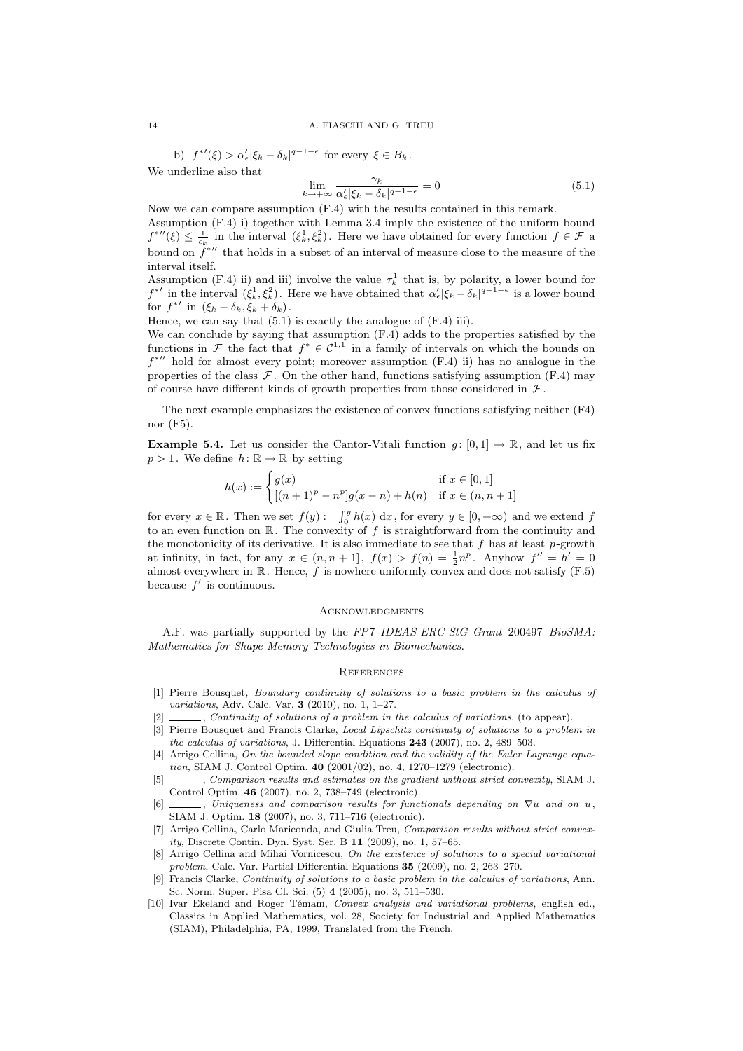b)  $f^{*'}(\xi) > \alpha'_{\epsilon} |\xi_k - \delta_k|^{q-1-\epsilon}$  for every  $\xi \in B_k$ . We underline also that

$$
\lim_{k \to +\infty} \frac{\gamma_k}{\alpha'_{\epsilon} |\xi_k - \delta_k|^{q-1-\epsilon}} = 0 \tag{5.1}
$$

Now we can compare assumption (F.4) with the results contained in this remark.

Assumption (F.4) i) together with Lemma 3.4 imply the existence of the uniform bound  $f^{''''}(\xi) \leq \frac{1}{\epsilon_k}$  in the interval  $(\xi_k^1, \xi_k^2)$ . Here we have obtained for every function  $f \in \mathcal{F}$  a bound on  $\ddot{f}$ <sup>\*</sup>'' that holds in a subset of an interval of measure close to the measure of the interval itself.

Assumption (F.4) ii) and iii) involve the value  $\tau_k^1$  that is, by polarity, a lower bound for  $f^{*'}$  in the interval  $(\xi_k^1, \xi_k^2)$ . Here we have obtained that  $\alpha'_\epsilon |\xi_k - \delta_k|^{q-1-\epsilon}$  is a lower bound for  $f^{*'}$  in  $(\xi_k - \delta_k, \xi_k + \delta_k)$ .

Hence, we can say that  $(5.1)$  is exactly the analogue of  $(F.4)$  iii).

We can conclude by saying that assumption  $(F.4)$  adds to the properties satisfied by the functions in F the fact that  $f^* \in \mathcal{C}^{1,1}$  in a family of intervals on which the bounds on  $f^{*}$ <sup>*''*</sup> hold for almost every point; moreover assumption (F.4) ii) has no analogue in the properties of the class  $\mathcal F$ . On the other hand, functions satisfying assumption (F.4) may of course have different kinds of growth properties from those considered in  $\mathcal F$ .

The next example emphasizes the existence of convex functions satisfying neither (F4) nor (F5).

**Example 5.4.** Let us consider the Cantor-Vitali function  $g: [0, 1] \rightarrow \mathbb{R}$ , and let us fix  $p > 1$ . We define  $h: \mathbb{R} \to \mathbb{R}$  by setting

$$
h(x) := \begin{cases} g(x) & \text{if } x \in [0,1] \\ [(n+1)^p - n^p]g(x-n) + h(n) & \text{if } x \in (n, n+1] \end{cases}
$$

for every  $x \in \mathbb{R}$ . Then we set  $f(y) := \int_0^y h(x) dx$ , for every  $y \in [0, +\infty)$  and we extend f to an even function on  $\mathbb R$ . The convexity of f is straightforward from the continuity and the monotonicity of its derivative. It is also immediate to see that f has at least  $p$ -growth at infinity, in fact, for any  $x \in (n, n+1]$ ,  $f(x) > f(n) = \frac{1}{2}n^p$ . Anyhow  $f'' = h' = 0$ almost everywhere in  $\mathbb R$ . Hence, f is nowhere uniformly convex and does not satisfy (F.5) because  $f'$  is continuous.

#### Acknowledgments

A.F. was partially supported by the FP7-IDEAS-ERC-StG Grant 200497 BioSMA: Mathematics for Shape Memory Technologies in Biomechanics.

#### **REFERENCES**

- [1] Pierre Bousquet, Boundary continuity of solutions to a basic problem in the calculus of variations, Adv. Calc. Var. 3 (2010), no. 1, 1–27.
- [2] \_\_\_\_\_, Continuity of solutions of a problem in the calculus of variations, (to appear).
- [3] Pierre Bousquet and Francis Clarke, *Local Lipschitz continuity of solutions to a problem in* the calculus of variations, J. Differential Equations 243 (2007), no. 2, 489–503.
- [4] Arrigo Cellina, On the bounded slope condition and the validity of the Euler Lagrange equation, SIAM J. Control Optim. 40 (2001/02), no. 4, 1270–1279 (electronic).
- [5]  $\Box$ , Comparison results and estimates on the gradient without strict convexity, SIAM J. Control Optim. 46 (2007), no. 2, 738–749 (electronic).
- [6]  $\Box$ , Uniqueness and comparison results for functionals depending on  $\nabla u$  and on u, SIAM J. Optim. 18 (2007), no. 3, 711–716 (electronic).
- [7] Arrigo Cellina, Carlo Mariconda, and Giulia Treu, Comparison results without strict convexity, Discrete Contin. Dyn. Syst. Ser. B 11 (2009), no. 1, 57–65.
- Arrigo Cellina and Mihai Vornicescu, On the existence of solutions to a special variational problem, Calc. Var. Partial Differential Equations 35 (2009), no. 2, 263–270.
- Francis Clarke, Continuity of solutions to a basic problem in the calculus of variations, Ann. Sc. Norm. Super. Pisa Cl. Sci. (5) 4 (2005), no. 3, 511–530.
- [10] Ivar Ekeland and Roger Témam, Convex analysis and variational problems, english ed., Classics in Applied Mathematics, vol. 28, Society for Industrial and Applied Mathematics (SIAM), Philadelphia, PA, 1999, Translated from the French.